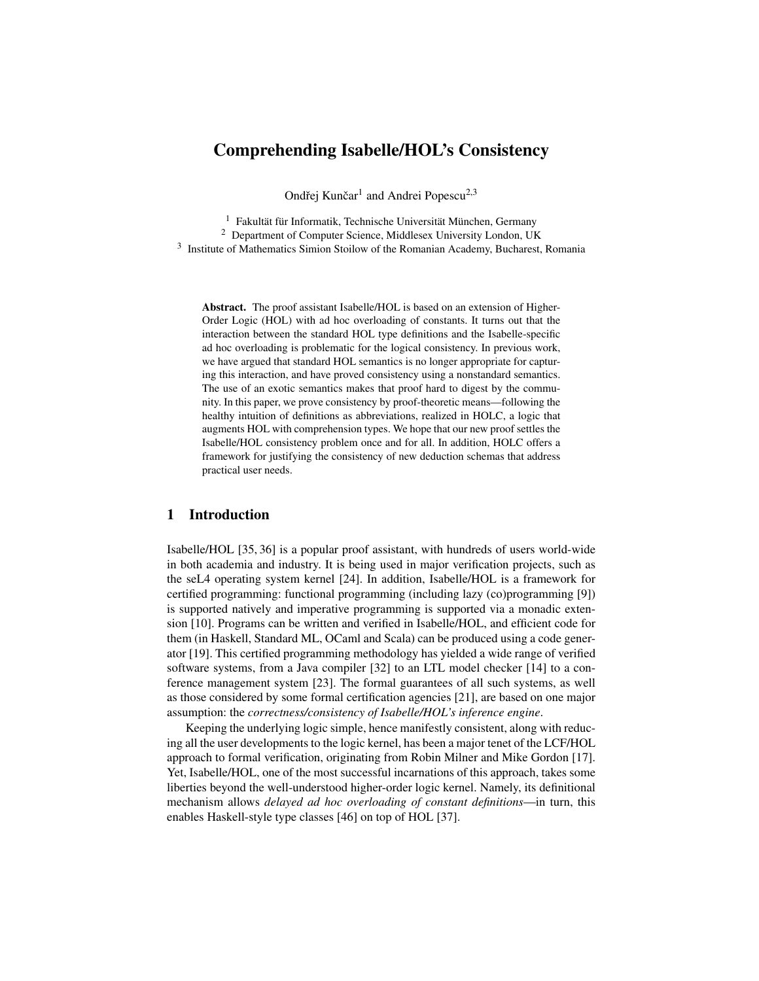## Comprehending Isabelle/HOL's Consistency

Ondřej Kunčar<sup>1</sup> and Andrei Popescu<sup>2,3</sup>

<sup>1</sup> Fakultät für Informatik, Technische Universität München, Germany

<sup>2</sup> Department of Computer Science, Middlesex University London, UK

<sup>3</sup> Institute of Mathematics Simion Stoilow of the Romanian Academy, Bucharest, Romania

Abstract. The proof assistant Isabelle/HOL is based on an extension of Higher-Order Logic (HOL) with ad hoc overloading of constants. It turns out that the interaction between the standard HOL type definitions and the Isabelle-specific ad hoc overloading is problematic for the logical consistency. In previous work, we have argued that standard HOL semantics is no longer appropriate for capturing this interaction, and have proved consistency using a nonstandard semantics. The use of an exotic semantics makes that proof hard to digest by the community. In this paper, we prove consistency by proof-theoretic means—following the healthy intuition of definitions as abbreviations, realized in HOLC, a logic that augments HOL with comprehension types. We hope that our new proof settles the Isabelle/HOL consistency problem once and for all. In addition, HOLC offers a framework for justifying the consistency of new deduction schemas that address practical user needs.

## 1 Introduction

Isabelle/HOL [\[35,](#page-22-0) [36\]](#page-22-1) is a popular proof assistant, with hundreds of users world-wide in both academia and industry. It is being used in major verification projects, such as the seL4 operating system kernel [\[24\]](#page-21-0). In addition, Isabelle/HOL is a framework for certified programming: functional programming (including lazy (co)programming [\[9\]](#page-21-1)) is supported natively and imperative programming is supported via a monadic extension [\[10\]](#page-21-2). Programs can be written and verified in Isabelle/HOL, and efficient code for them (in Haskell, Standard ML, OCaml and Scala) can be produced using a code generator [\[19\]](#page-21-3). This certified programming methodology has yielded a wide range of verified software systems, from a Java compiler [\[32\]](#page-22-2) to an LTL model checker [\[14\]](#page-21-4) to a conference management system [\[23\]](#page-21-5). The formal guarantees of all such systems, as well as those considered by some formal certification agencies [\[21\]](#page-21-6), are based on one major assumption: the *correctness/consistency of Isabelle/HOL's inference engine*.

Keeping the underlying logic simple, hence manifestly consistent, along with reducing all the user developments to the logic kernel, has been a major tenet of the LCF/HOL approach to formal verification, originating from Robin Milner and Mike Gordon [\[17\]](#page-21-7). Yet, Isabelle/HOL, one of the most successful incarnations of this approach, takes some liberties beyond the well-understood higher-order logic kernel. Namely, its definitional mechanism allows *delayed ad hoc overloading of constant definitions*—in turn, this enables Haskell-style type classes [\[46\]](#page-22-3) on top of HOL [\[37\]](#page-22-4).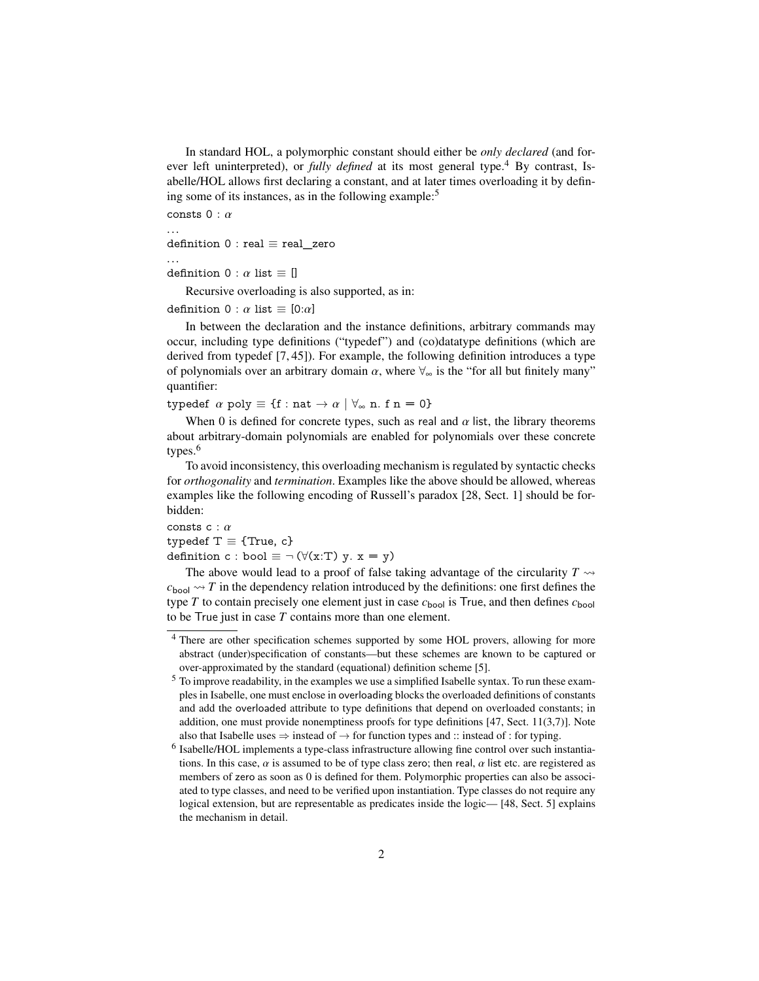In standard HOL, a polymorphic constant should either be *only declared* (and forever left uninterpreted), or *fully defined* at its most general type.<sup>[4](#page-1-0)</sup> By contrast, Isabelle/HOL allows first declaring a constant, and at later times overloading it by defin-ing some of its instances, as in the following example:<sup>[5](#page-1-1)</sup>

consts  $0 : \alpha$ <br>...

definition  $0$  : real  $\equiv$  real\_zero

definition  $0 : \alpha$  list  $\equiv []$ 

Recursive overloading is also supported, as in:

definition  $0 : \alpha$  list  $\equiv [0:\alpha]$ 

In between the declaration and the instance definitions, arbitrary commands may occur, including type definitions ("typedef") and (co)datatype definitions (which are derived from typedef [\[7,](#page-21-8) [45\]](#page-22-5)). For example, the following definition introduces a type of polynomials over an arbitrary domain  $\alpha$ , where  $\forall_{\infty}$  is the "for all but finitely many" quantifier:

typedef  $\alpha$  poly  $\equiv \{f : nat \rightarrow \alpha \mid \forall_{\infty} n. f n = 0\}$ 

When 0 is defined for concrete types, such as real and  $\alpha$  list, the library theorems about arbitrary-domain polynomials are enabled for polynomials over these concrete types.<sup>[6](#page-1-2)</sup>

To avoid inconsistency, this overloading mechanism is regulated by syntactic checks for *orthogonality* and *termination*. Examples like the above should be allowed, whereas examples like the following encoding of Russell's paradox [\[28,](#page-22-6) Sect. 1] should be forbidden:

consts  $c : \alpha$ 

typedef  $T \equiv \{True, c\}$ 

definition c : bool  $\equiv \neg (\forall (x:T) y. x = y)$ 

The above would lead to a proof of false taking advantage of the circularity  $T \rightarrow$  $c_{\text{bool}} \rightarrow T$  in the dependency relation introduced by the definitions: one first defines the type *T* to contain precisely one element just in case  $c_{\text{bool}}$  is True, and then defines  $c_{\text{bool}}$ to be True just in case *T* contains more than one element.

<span id="page-1-0"></span><sup>4</sup> There are other specification schemes supported by some HOL provers, allowing for more abstract (under)specification of constants—but these schemes are known to be captured or over-approximated by the standard (equational) definition scheme [\[5\]](#page-21-9).

<span id="page-1-1"></span><sup>&</sup>lt;sup>5</sup> To improve readability, in the examples we use a simplified Isabelle syntax. To run these examples in Isabelle, one must enclose in overloading blocks the overloaded definitions of constants and add the overloaded attribute to type definitions that depend on overloaded constants; in addition, one must provide nonemptiness proofs for type definitions  $[47, Sect. 11(3,7)]$  $[47, Sect. 11(3,7)]$ . Note also that Isabelle uses  $\Rightarrow$  instead of  $\rightarrow$  for function types and :: instead of : for typing.

<span id="page-1-2"></span><sup>&</sup>lt;sup>6</sup> Isabelle/HOL implements a type-class infrastructure allowing fine control over such instantiations. In this case,  $\alpha$  is assumed to be of type class zero; then real,  $\alpha$  list etc. are registered as members of zero as soon as 0 is defined for them. Polymorphic properties can also be associated to type classes, and need to be verified upon instantiation. Type classes do not require any logical extension, but are representable as predicates inside the logic— [\[48,](#page-22-8) Sect. 5] explains the mechanism in detail.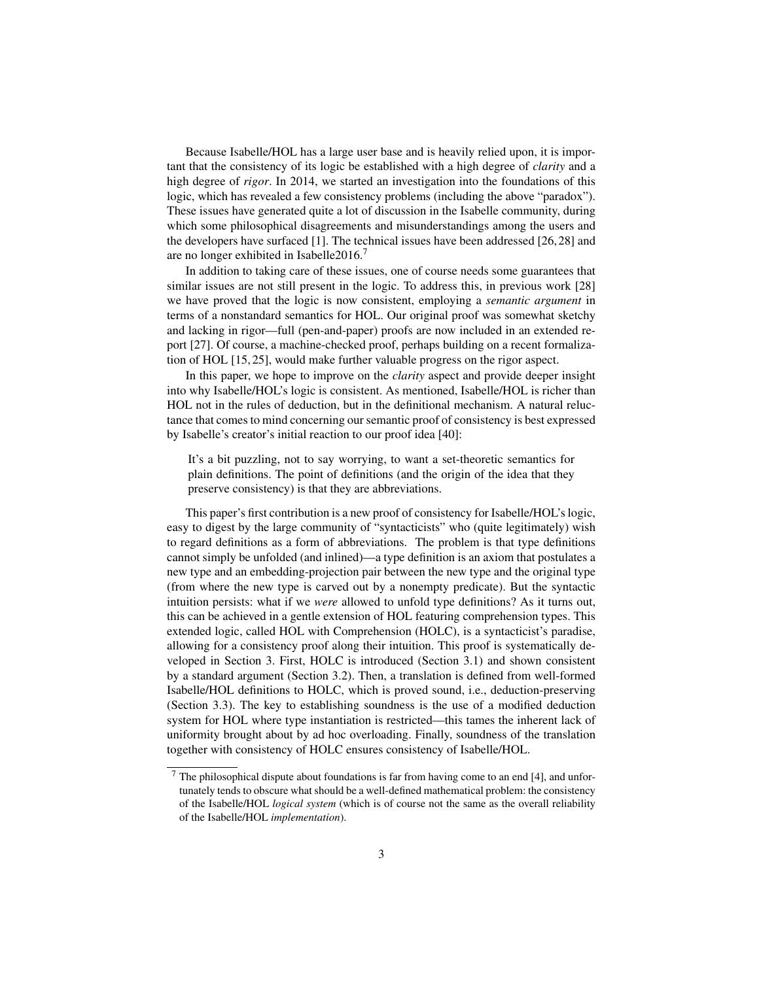Because Isabelle/HOL has a large user base and is heavily relied upon, it is important that the consistency of its logic be established with a high degree of *clarity* and a high degree of *rigor*. In 2014, we started an investigation into the foundations of this logic, which has revealed a few consistency problems (including the above "paradox"). These issues have generated quite a lot of discussion in the Isabelle community, during which some philosophical disagreements and misunderstandings among the users and the developers have surfaced [\[1\]](#page-21-10). The technical issues have been addressed [\[26,](#page-22-9) [28\]](#page-22-6) and are no longer exhibited in Isabelle2016.[7](#page-2-0)

In addition to taking care of these issues, one of course needs some guarantees that similar issues are not still present in the logic. To address this, in previous work [\[28\]](#page-22-6) we have proved that the logic is now consistent, employing a *semantic argument* in terms of a nonstandard semantics for HOL. Our original proof was somewhat sketchy and lacking in rigor—full (pen-and-paper) proofs are now included in an extended report [\[27\]](#page-22-10). Of course, a machine-checked proof, perhaps building on a recent formalization of HOL [\[15,](#page-21-11) [25\]](#page-22-11), would make further valuable progress on the rigor aspect.

In this paper, we hope to improve on the *clarity* aspect and provide deeper insight into why Isabelle/HOL's logic is consistent. As mentioned, Isabelle/HOL is richer than HOL not in the rules of deduction, but in the definitional mechanism. A natural reluctance that comes to mind concerning our semantic proof of consistency is best expressed by Isabelle's creator's initial reaction to our proof idea [\[40\]](#page-22-12):

It's a bit puzzling, not to say worrying, to want a set-theoretic semantics for plain definitions. The point of definitions (and the origin of the idea that they preserve consistency) is that they are abbreviations.

This paper's first contribution is a new proof of consistency for Isabelle/HOL's logic, easy to digest by the large community of "syntacticists" who (quite legitimately) wish to regard definitions as a form of abbreviations. The problem is that type definitions cannot simply be unfolded (and inlined)—a type definition is an axiom that postulates a new type and an embedding-projection pair between the new type and the original type (from where the new type is carved out by a nonempty predicate). But the syntactic intuition persists: what if we *were* allowed to unfold type definitions? As it turns out, this can be achieved in a gentle extension of HOL featuring comprehension types. This extended logic, called HOL with Comprehension (HOLC), is a syntacticist's paradise, allowing for a consistency proof along their intuition. This proof is systematically developed in Section [3.](#page-8-0) First, HOLC is introduced (Section [3.1\)](#page-9-0) and shown consistent by a standard argument (Section [3.2\)](#page-11-0). Then, a translation is defined from well-formed Isabelle/HOL definitions to HOLC, which is proved sound, i.e., deduction-preserving (Section [3.3\)](#page-13-0). The key to establishing soundness is the use of a modified deduction system for HOL where type instantiation is restricted—this tames the inherent lack of uniformity brought about by ad hoc overloading. Finally, soundness of the translation together with consistency of HOLC ensures consistency of Isabelle/HOL.

<span id="page-2-0"></span> $7$  The philosophical dispute about foundations is far from having come to an end [\[4\]](#page-21-12), and unfortunately tends to obscure what should be a well-defined mathematical problem: the consistency of the Isabelle/HOL *logical system* (which is of course not the same as the overall reliability of the Isabelle/HOL *implementation*).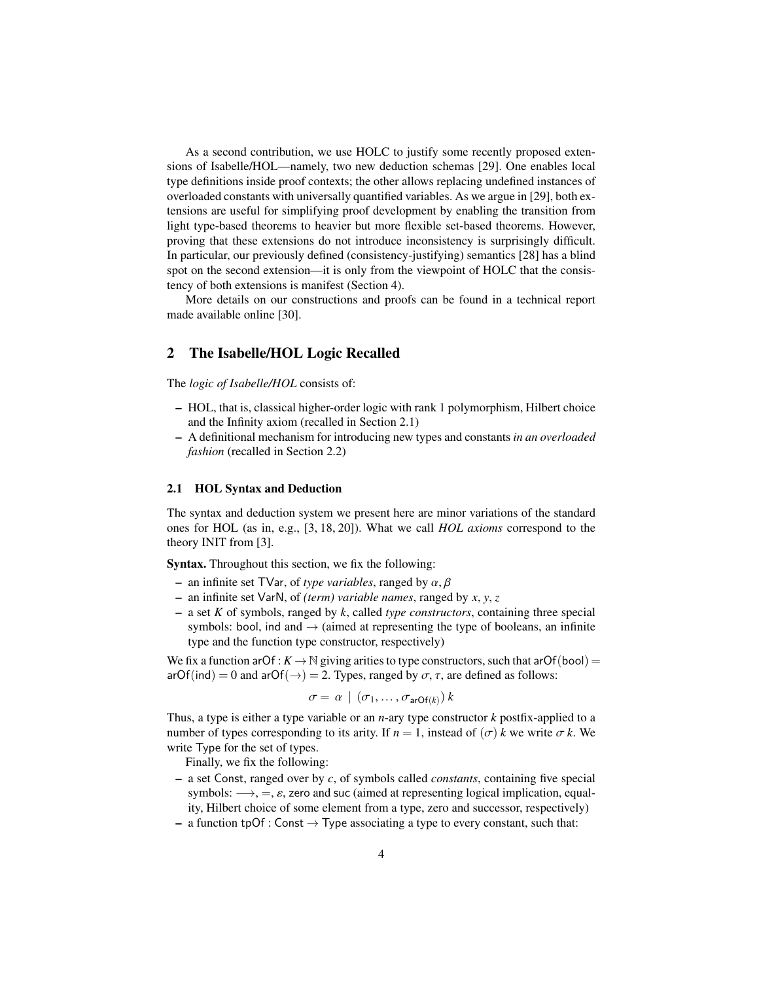As a second contribution, we use HOLC to justify some recently proposed extensions of Isabelle/HOL—namely, two new deduction schemas [\[29\]](#page-22-13). One enables local type definitions inside proof contexts; the other allows replacing undefined instances of overloaded constants with universally quantified variables. As we argue in [\[29\]](#page-22-13), both extensions are useful for simplifying proof development by enabling the transition from light type-based theorems to heavier but more flexible set-based theorems. However, proving that these extensions do not introduce inconsistency is surprisingly difficult. In particular, our previously defined (consistency-justifying) semantics [\[28\]](#page-22-6) has a blind spot on the second extension—it is only from the viewpoint of HOLC that the consistency of both extensions is manifest (Section [4\)](#page-16-0).

More details on our constructions and proofs can be found in a technical report made available online [\[30\]](#page-22-14).

## 2 The Isabelle/HOL Logic Recalled

The *logic of Isabelle/HOL* consists of:

- HOL, that is, classical higher-order logic with rank 1 polymorphism, Hilbert choice and the Infinity axiom (recalled in Section [2.1\)](#page-3-0)
- A definitional mechanism for introducing new types and constants *in an overloaded fashion* (recalled in Section [2.2\)](#page-6-0)

#### <span id="page-3-0"></span>2.1 HOL Syntax and Deduction

The syntax and deduction system we present here are minor variations of the standard ones for HOL (as in, e.g., [\[3,](#page-21-13) [18,](#page-21-14) [20\]](#page-21-15)). What we call *HOL axioms* correspond to the theory INIT from [\[3\]](#page-21-13).

Syntax. Throughout this section, we fix the following:

- $-$  an infinite set TVar, of *type variables*, ranged by  $\alpha$ ,  $\beta$
- an infinite set VarN, of *(term) variable names*, ranged by *<sup>x</sup>*, *<sup>y</sup>*, *<sup>z</sup>*
- a set *K* of symbols, ranged by *k*, called *type constructors*, containing three special symbols: bool, ind and  $\rightarrow$  (aimed at representing the type of booleans, an infinite type and the function type constructor, respectively)

We fix a function arOf :  $K \to \mathbb{N}$  giving arities to type constructors, such that arOf(bool) = arOf(ind) = 0 and arOf( $\rightarrow$ ) = 2. Types, ranged by  $\sigma$ ,  $\tau$ , are defined as follows:

$$
\sigma = \alpha \mid (\sigma_1, \ldots, \sigma_{\text{arOf}(k)}) k
$$

Thus, a type is either a type variable or an *n*-ary type constructor *k* postfix-applied to a number of types corresponding to its arity. If  $n = 1$ , instead of  $(\sigma)$  *k* we write  $\sigma$  *k*. We write Type for the set of types.

Finally, we fix the following:

- a set Const, ranged over by *c*, of symbols called *constants*, containing five special symbols:  $\rightarrow$ , =,  $\varepsilon$ , zero and suc (aimed at representing logical implication, equality, Hilbert choice of some element from a type, zero and successor, respectively)
- a function tpOf : Const  $\rightarrow$  Type associating a type to every constant, such that: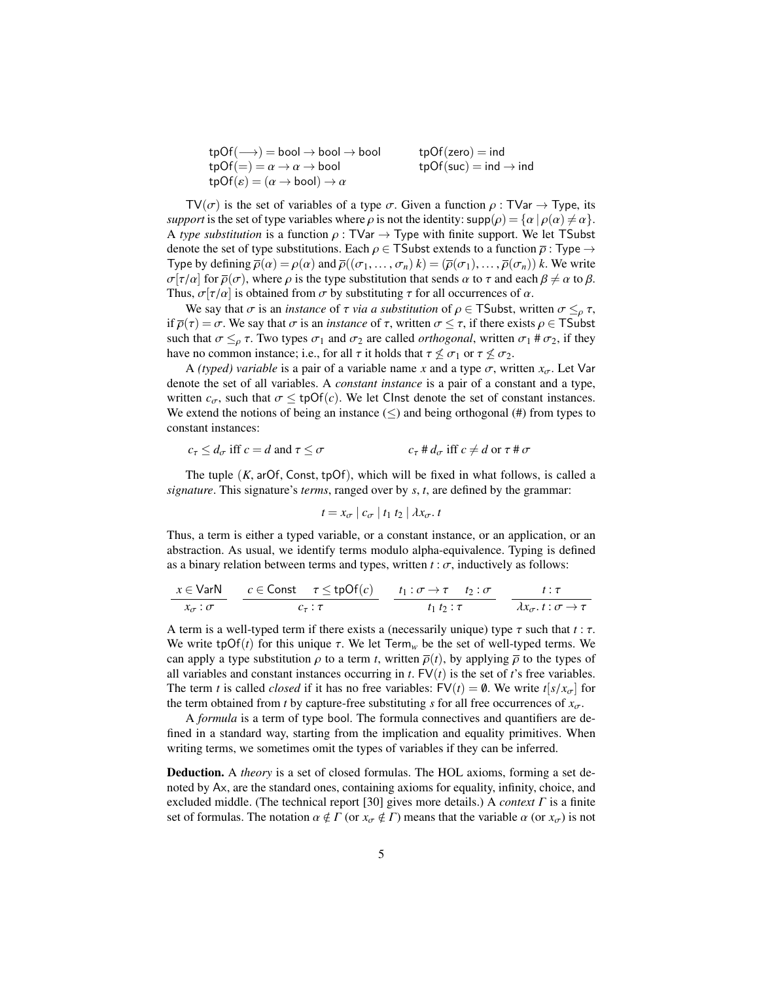| $tpOf(\longrightarrow) = bool \rightarrow bool \rightarrow bool$   | $tpOf(zero) = ind$                |
|--------------------------------------------------------------------|-----------------------------------|
| $tpOf(=)=\alpha \rightarrow \alpha \rightarrow \text{bool}$        | $tpOf(suc) = ind \rightarrow ind$ |
| $tpOf(\varepsilon) = (\alpha \rightarrow bool) \rightarrow \alpha$ |                                   |
|                                                                    |                                   |

 $TV(\sigma)$  is the set of variables of a type  $\sigma$ . Given a function  $\rho : TVar \to Type$ , its *support* is the set of type variables where  $\rho$  is not the identity:  $\text{supp}(\rho) = \{\alpha \mid \rho(\alpha) \neq \alpha\}.$ A *type substitution* is a function  $\rho$ : TVar  $\rightarrow$  Type with finite support. We let TSubst denote the set of type substitutions. Each  $\rho \in \mathsf{TSubst}$  extends to a function  $\overline{\rho}$  : Type  $\rightarrow$ Type by defining  $\overline{\rho}(\alpha) = \rho(\alpha)$  and  $\overline{\rho}((\sigma_1, \ldots, \sigma_n) \, k) = (\overline{\rho}(\sigma_1), \ldots, \overline{\rho}(\sigma_n)) \, k$ . We write  $\sigma[\tau/\alpha]$  for  $\bar{\rho}(\sigma)$ , where  $\rho$  is the type substitution that sends  $\alpha$  to  $\tau$  and each  $\beta \neq \alpha$  to  $\beta$ . Thus,  $\sigma[\tau/\alpha]$  is obtained from  $\sigma$  by substituting  $\tau$  for all occurrences of  $\alpha$ .

We say that  $\sigma$  is an *instance* of  $\tau$  *via a substitution* of  $\rho \in \mathsf{TSubst}$ , written  $\sigma \leq_{\rho} \tau$ , if  $\overline{\rho}(\tau) = \sigma$ . We say that  $\sigma$  is an *instance* of  $\tau$ , written  $\sigma \leq \tau$ , if there exists  $\rho \in T$ Subst such that  $\sigma \leq_{\rho} \tau$ . Two types  $\sigma_1$  and  $\sigma_2$  are called *orthogonal*, written  $\sigma_1 \neq \sigma_2$ , if they have no common instance; i.e., for all  $\tau$  it holds that  $\tau \nleq \sigma_1$  or  $\tau \nleq \sigma_2$ .

A *(typed) variable* is a pair of a variable name *x* and a type  $\sigma$ , written  $x_{\sigma}$ . Let Var denote the set of all variables. A *constant instance* is a pair of a constant and a type, written  $c_{\sigma}$ , such that  $\sigma \leq \text{tpOf}(c)$ . We let Clnst denote the set of constant instances. We extend the notions of being an instance  $(\le)$  and being orthogonal (#) from types to constant instances:

$$
c_{\tau} \le d_{\sigma} \text{ iff } c = d \text{ and } \tau \le \sigma \qquad c_{\tau} \# d_{\sigma} \text{ iff } c \ne d \text{ or } \tau \# \sigma
$$

The tuple  $(K, arOf, Const, tpOf)$ , which will be fixed in what follows, is called a *signature*. This signature's *terms*, ranged over by *<sup>s</sup>*, *<sup>t</sup>*, are defined by the grammar:

$$
t = x_{\sigma} \mid c_{\sigma} \mid t_1 \mid t_2 \mid \lambda x_{\sigma}.
$$

Thus, a term is either a typed variable, or a constant instance, or an application, or an abstraction. As usual, we identify terms modulo alpha-equivalence. Typing is defined as a binary relation between terms and types, written  $t : \sigma$ , inductively as follows:

$$
\frac{x \in \text{VarN}}{x_{\sigma} : \sigma} \quad \frac{c \in \text{Const} \quad \tau \leq \text{tpOf}(c)}{c_{\tau} : \tau} \quad \frac{t_1 : \sigma \to \tau \quad t_2 : \sigma}{t_1 \, t_2 : \tau} \quad \frac{t : \tau}{\lambda x_{\sigma} \cdot t : \sigma \to \tau}
$$

A term is a well-typed term if there exists a (necessarily unique) type  $\tau$  such that  $t : \tau$ . We write tpOf(*t*) for this unique  $\tau$ . We let Term<sub>*w*</sub> be the set of well-typed terms. We can apply a type substitution  $\rho$  to a term *t*, written  $\overline{\rho}(t)$ , by applying  $\overline{\rho}$  to the types of all variables and constant instances occurring in  $t$ .  $FV(t)$  is the set of  $t$ 's free variables. The term *t* is called *closed* if it has no free variables:  $FV(t) = \emptyset$ . We write  $t[s/x_{\sigma}]$  for the term obtained from *t* by capture-free substituting *s* for all free occurrences of  $x_{\sigma}$ .

A *formula* is a term of type bool. The formula connectives and quantifiers are defined in a standard way, starting from the implication and equality primitives. When writing terms, we sometimes omit the types of variables if they can be inferred.

Deduction. A *theory* is a set of closed formulas. The HOL axioms, forming a set denoted by Ax, are the standard ones, containing axioms for equality, infinity, choice, and excluded middle. (The technical report [\[30\]](#page-22-14) gives more details.) A *context* Γ is a finite set of formulas. The notation  $\alpha \notin \Gamma$  (or  $x_{\sigma} \notin \Gamma$ ) means that the variable  $\alpha$  (or  $x_{\sigma}$ ) is not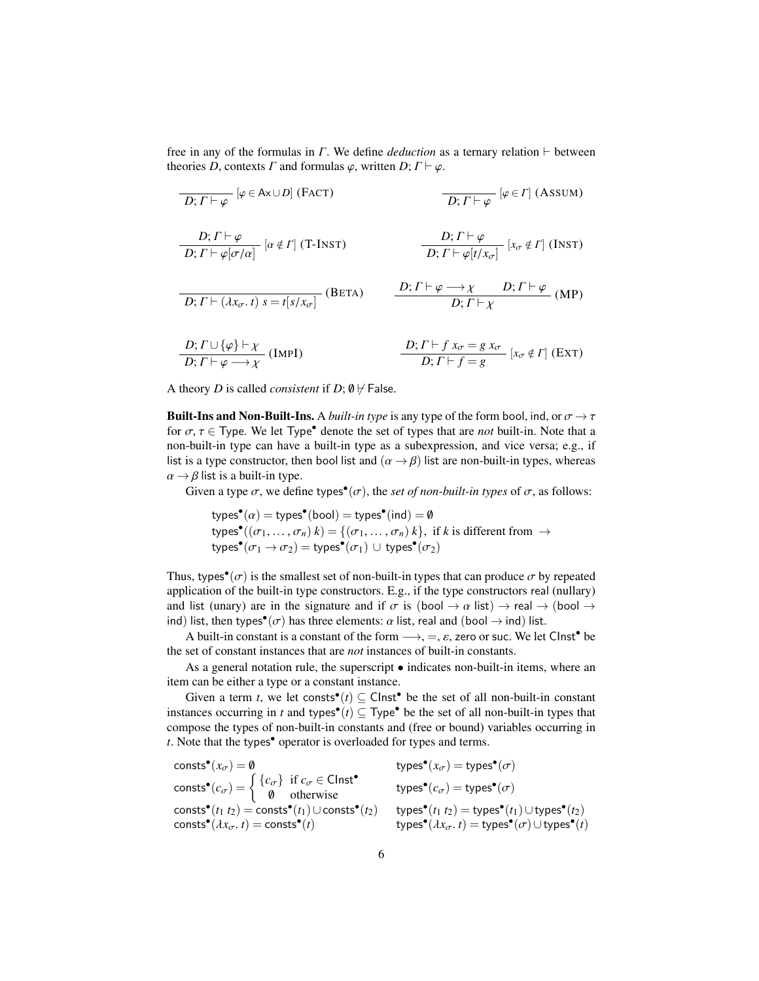free in any of the formulas in  $\Gamma$ . We define *deduction* as a ternary relation  $\vdash$  between theories *D*, contexts *Γ* and formulas  $\varphi$ , written *D*;  $\Gamma \vdash \varphi$ .

| $D; \Gamma \vdash \varphi$                                     | $[\varphi \in A \times \cup D]$ (FACT)                                    |                                                                                                                |
|----------------------------------------------------------------|---------------------------------------------------------------------------|----------------------------------------------------------------------------------------------------------------|
| $D; \Gamma \vdash \varphi$                                     | $[\varphi \in \Gamma]$ (Assum)                                            |                                                                                                                |
| $D; \Gamma \vdash \varphi$                                     | $[\alpha \notin \Gamma]$ (T-INT)                                          |                                                                                                                |
| $D; \Gamma \vdash \varphi[\sigma/\alpha]$                      | $[\alpha \notin \Gamma]$ (T-INT)                                          |                                                                                                                |
| $D; \Gamma \vdash \varphi[t/x_{\sigma}]$                       | $[x_{\sigma} \notin \Gamma]$ (INT)                                        |                                                                                                                |
| $D; \Gamma \vdash (\lambda x_{\sigma}, t) s = t[s/x_{\sigma}]$ | $\frac{D; \Gamma \vdash \varphi \rightarrow \chi}{D; \Gamma \vdash \chi}$ | $D; \Gamma \vdash \varphi$ (MP)                                                                                |
| $D; \Gamma \vdash (\varphi) \vdash \chi$                       | $D; \Gamma \vdash f x_{\sigma} = g x_{\sigma}$                            | $[x_{\sigma} \notin \Gamma]$ (EXT)                                                                             |
| $D; \Gamma \vdash \varphi \longrightarrow \chi$                | $[Im \Gamma]$                                                             | $\frac{D; \Gamma \vdash f x_{\sigma} = g x_{\sigma}}{D; \Gamma \vdash f = g} [x_{\sigma} \notin \Gamma]$ (EXT) |

A theory *D* is called *consistent* if *D*;  $\emptyset$   $\nvdash$  False.

**Built-Ins and Non-Built-Ins.** A *built-in type* is any type of the form bool, ind, or  $\sigma \rightarrow \tau$ for  $\sigma, \tau \in \text{Type}$ . We let Type<sup>•</sup> denote the set of types that are *not* built-in. Note that a<br>non-built-in type can have a built-in type as a subexpression, and vice versa; e.g., if non-built-in type can have a built-in type as a subexpression, and vice versa; e.g., if list is a type constructor, then bool list and  $(\alpha \rightarrow \beta)$  list are non-built-in types, whereas  $\alpha \rightarrow \beta$  list is a built-in type.

Given a type  $\sigma$ , we define types<sup>•</sup>( $\sigma$ ), the *set of non-built-in types* of  $\sigma$ , as follows:

$$
\mathsf{types}^{\bullet}(\alpha) = \mathsf{types}^{\bullet}(\mathsf{bool}) = \mathsf{types}^{\bullet}(\mathsf{ind}) = \emptyset
$$
\n
$$
\mathsf{types}^{\bullet}((\sigma_1, \dots, \sigma_n) \ k) = \{(\sigma_1, \dots, \sigma_n) \ k\}, \ \text{if } k \ \text{is different from } \rightarrow \mathsf{types}^{\bullet}(\sigma_1 \rightarrow \sigma_2) = \mathsf{types}^{\bullet}(\sigma_1) \ \cup \ \mathsf{types}^{\bullet}(\sigma_2)
$$

Thus, types<sup>•</sup>( $\sigma$ ) is the smallest set of non-built-in types that can produce  $\sigma$  by repeated application of the built-in type constructors. E.g. if the type constructors real (nullary) application of the built-in type constructors. E.g., if the type constructors real (nullary) and list (unary) are in the signature and if  $\sigma$  is (bool  $\rightarrow \alpha$  list)  $\rightarrow$  real  $\rightarrow$  (bool  $\rightarrow$ ind) list, then types<sup>•</sup>( $\sigma$ ) has three elements:  $\alpha$  list, real and (bool  $\rightarrow$  ind) list.

A built-in constant is a constant of the form  $\longrightarrow$ ,  $=$ ,  $\varepsilon$ , zero or suc. We let Clnst<sup>•</sup> be<br>set of constant instances that are not instances of built-in constants the set of constant instances that are *not* instances of built-in constants.

As a general notation rule, the superscript • indicates non-built-in items, where an item can be either a type or a constant instance.

Given a term *t*, we let consts<sup>•</sup>(*t*)  $\subseteq$  Clnst<sup>•</sup> be the set of all non-built-in constant instances occurring in *t* and types<sup>•</sup>(*t*)  $\subseteq$  Type<sup>•</sup> be the set of all non-built-in types that compose the types of non-built-in constants and (free or bound) variables occurring in *t*. Note that the types• operator is overloaded for types and terms.

consts<sup>•</sup> $(x_{\sigma}) = \emptyset$  $(x_{\sigma}) = 0$  types<sup>•</sup> $(x_{\sigma})$  = types<sup>•</sup> $(\sigma)$ consts<sup>•</sup> $(c_{\sigma}) = \begin{cases} {c_{\sigma}} \text{ if } c_{\sigma} \in \text{Clnst}^{\bullet} \\ \emptyset \text{ otherwise} \end{cases}$  types<sup>•</sup> $(c_{\sigma}) = \text{types}^{\bullet}(\sigma)$  $\text{consts}^{\bullet}(t_1 \ t_2) = \text{consts}^{\bullet}(t_1) \cup \text{consts}^{\bullet}(t_2) \hspace{1cm} \text{types}^{\bullet}(t_1 \ t_2) = \text{types}^{\bullet}(t_1) \cup \text{types}^{\bullet}(t_2)$  $\text{consts}^{\bullet}(\lambda x_{\sigma}, t) = \text{consts}^{\bullet}$ (*t*) types•  $(\lambda x_{\sigma}. t)$  = types<sup>•</sup>( $\sigma$ )∪types<sup>•</sup>(*t*)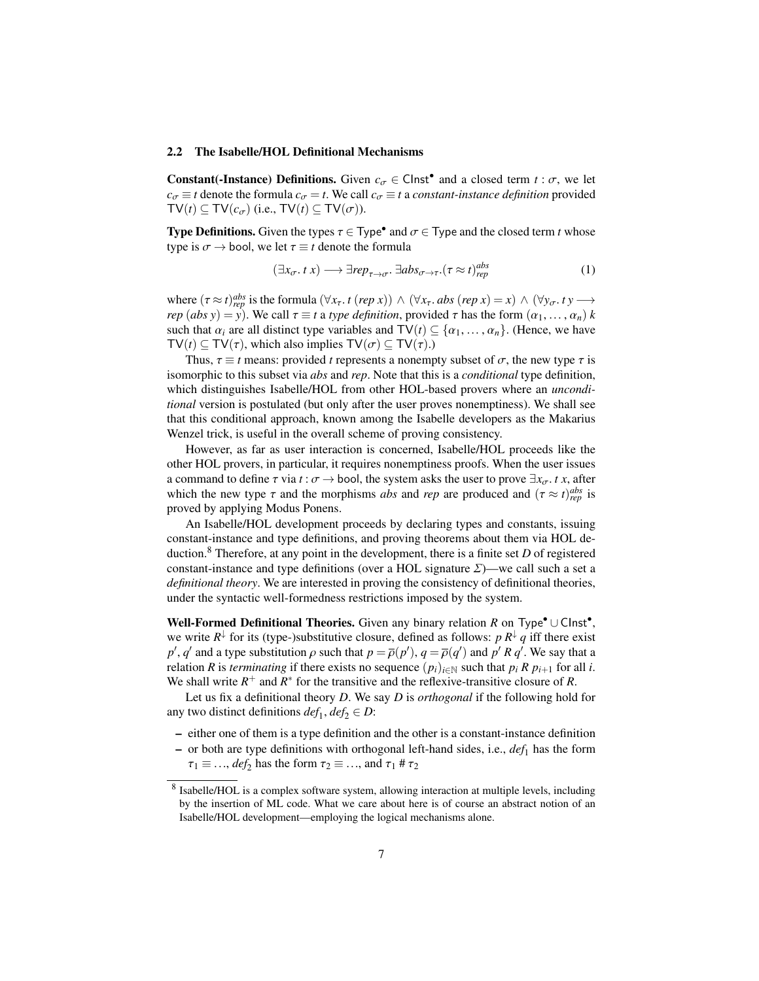#### <span id="page-6-0"></span>2.2 The Isabelle/HOL Definitional Mechanisms

**Constant(-Instance) Definitions.** Given  $c_{\sigma} \in \text{Clnst}^{\bullet}$  and a closed term  $t : \sigma$ , we let  $c_{\sigma} = t$  denote the formula  $c_{\sigma} = t$ . We call  $c_{\sigma} = t$  a constant instance definition provided  $c_{\sigma} \equiv t$  denote the formula  $c_{\sigma} = t$ . We call  $c_{\sigma} \equiv t$  a *constant-instance definition* provided  $TV(t) \subseteq TV(c_{\sigma})$  (i.e.,  $TV(t) \subseteq TV(\sigma)$ ).

**Type Definitions.** Given the types  $\tau \in \text{Type}^{\bullet}$  and  $\sigma \in \text{Type}$  and the closed term *t* whose type is  $\sigma \rightarrow$  bool, we let  $\tau \equiv t$  denote the formula

<span id="page-6-2"></span>
$$
(\exists x_{\sigma}. \ t \ x) \longrightarrow \exists rep_{\tau \to \sigma}. \ \exists abs_{\sigma \to \tau}.(\tau \approx t)_{rep}^{abs}
$$
 (1)

where  $(\tau \approx t)_{rep}^{abs}$  is the formula  $(\forall x_{\tau}, t \ (rep \ x)) \land (\forall x_{\tau}, abs \ (rep \ x) = x) \land (\forall y_{\sigma}, ty \rightarrow \text{real})$ <br>*rep*  $(abs \ y) = y$ ). We call  $\tau = t$  a type definition, provided  $\tau$  has the form  $(\alpha, \alpha)$  k *rep* (*abs y*) = *y*). We call  $\tau \equiv t$  a *type definition*, provided  $\tau$  has the form  $(\alpha_1, \dots, \alpha_n)$  *k* such that  $\alpha$ , are all distinct type variables and  $\text{TV}(t) \subset \{\alpha_1, \dots, \alpha_k\}$ . (Hence we have such that  $\alpha_i$  are all distinct type variables and  $\mathsf{TV}(t) \subseteq \{\alpha_1, \dots, \alpha_n\}$ . (Hence, we have  $TV(t) \subseteq TV(\tau)$ , which also implies  $TV(\sigma) \subseteq TV(\tau)$ .)

Thus,  $\tau \equiv t$  means: provided *t* represents a nonempty subset of  $\sigma$ , the new type  $\tau$  is isomorphic to this subset via *abs* and *rep*. Note that this is a *conditional* type definition, which distinguishes Isabelle/HOL from other HOL-based provers where an *unconditional* version is postulated (but only after the user proves nonemptiness). We shall see that this conditional approach, known among the Isabelle developers as the Makarius Wenzel trick, is useful in the overall scheme of proving consistency.

However, as far as user interaction is concerned, Isabelle/HOL proceeds like the other HOL provers, in particular, it requires nonemptiness proofs. When the user issues a command to define  $\tau$  via  $t : \sigma \to$  bool, the system asks the user to prove  $\exists x_{\sigma}$ . *t x*, after which the new type  $\tau$  and the morphisms *abs* and *rep* are produced and  $(\tau \approx t)_{rep}^{abs}$  is proved by applying Modus Popens proved by applying Modus Ponens.

An Isabelle/HOL development proceeds by declaring types and constants, issuing constant-instance and type definitions, and proving theorems about them via HOL deduction.[8](#page-6-1) Therefore, at any point in the development, there is a finite set *D* of registered constant-instance and type definitions (over a HOL signature  $\Sigma$ )—we call such a set a *definitional theory*. We are interested in proving the consistency of definitional theories, under the syntactic well-formedness restrictions imposed by the system.

Well-Formed Definitional Theories. Given any binary relation *R* on Type<sup>•</sup>∪ Clnst<sup>•</sup>, we write  $R^{\downarrow}$  for its (type-)substitutive closure, defined as follows:  $p R^{\downarrow} q$  iff there exist *p*<sup>'</sup>, *q*' and a type substitution  $\rho$  such that  $p = \overline{\rho}(p')$ ,  $q = \overline{\rho}(q')$  and  $p' R q'$ . We say that a relation *R* is *terminating* if there exists no sequence  $(p_1)_{n \geq N}$  such that *n*, *R n*<sub>11</sub>, for all *i* relation *R* is *terminating* if there exists no sequence  $(p_i)_{i \in \mathbb{N}}$  such that  $p_i R p_{i+1}$  for all *i*. We shall write  $R^+$  and  $R^*$  for the transitive and the reflexive-transitive closure of  $R$ .

Let us fix a definitional theory *D*. We say *D* is *orthogonal* if the following hold for any two distinct definitions  $def_1, def_2 \in D$ :

- either one of them is a type definition and the other is a constant-instance definition
- $-$  or both are type definitions with orthogonal left-hand sides, i.e.,  $def_1$  has the form
- $\tau_1 \equiv \ldots$ , *def*<sub>2</sub> has the form  $\tau_2 \equiv \ldots$ , and  $\tau_1 \# \tau_2$

<span id="page-6-1"></span><sup>&</sup>lt;sup>8</sup> Isabelle/HOL is a complex software system, allowing interaction at multiple levels, including by the insertion of ML code. What we care about here is of course an abstract notion of an Isabelle/HOL development—employing the logical mechanisms alone.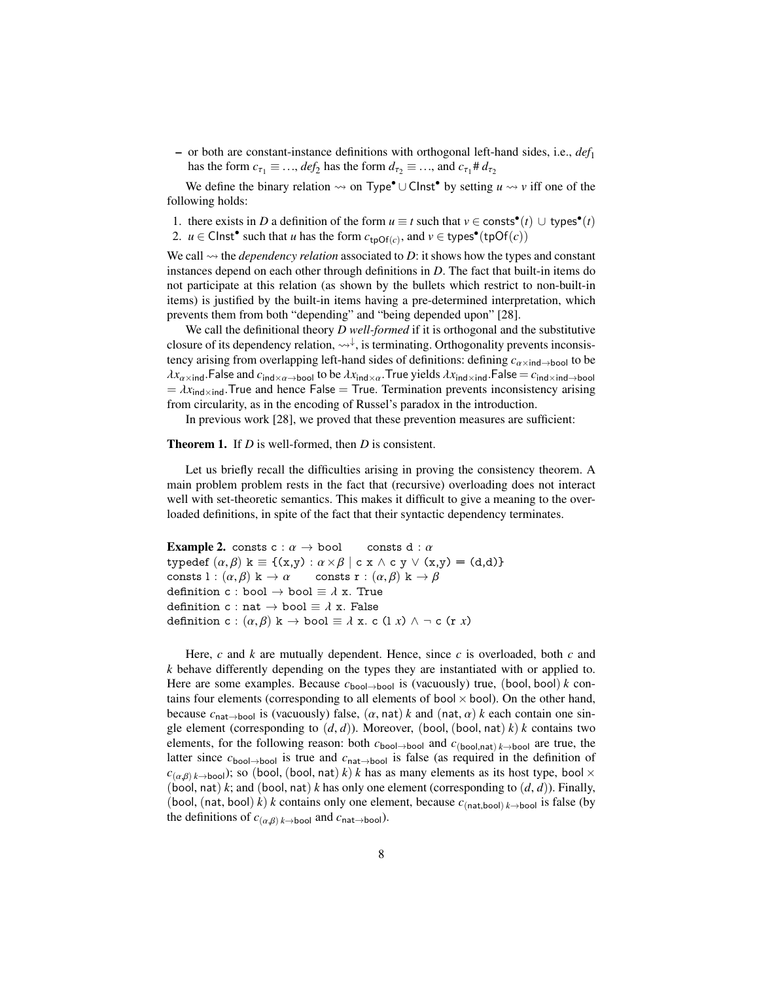– or both are constant-instance definitions with orthogonal left-hand sides, i.e., *def*<sup>1</sup> has the form  $c_{\tau_1} \equiv \dots$ ,  $def_2$  has the form  $d_{\tau_2} \equiv \dots$ , and  $c_{\tau_1} \neq d_{\tau_2}$ 

We define the binary relation  $\leadsto$  on Type<sup>•</sup> ∪ Clnst<sup>•</sup> by setting  $u \leadsto v$  iff one of the following holds:

1. there exists in *D* a definition of the form  $u \equiv t$  such that  $v \in \text{const}^{\bullet}(t) \cup \text{types}^{\bullet}(t)$ 

2.  $u \in \text{Clnst}^{\bullet}$  such that *u* has the form  $c_{\text{tpOf}(c)}$ , and  $v \in \text{types}^{\bullet}(\text{tpOf}(c))$ 

We call  $\rightsquigarrow$  the *dependency relation* associated to *D*: it shows how the types and constant instances depend on each other through definitions in *D*. The fact that built-in items do not participate at this relation (as shown by the bullets which restrict to non-built-in items) is justified by the built-in items having a pre-determined interpretation, which prevents them from both "depending" and "being depended upon" [\[28\]](#page-22-6).

We call the definitional theory *D well-formed* if it is orthogonal and the substitutive closure of its dependency relation,  $\leadsto \downarrow$ , is terminating. Orthogonality prevents inconsistency arising from overlapping left-hand sides of definitions: defining  $c_{\alpha \times \text{ind}\rightarrow \text{bool}}$  to be  $\lambda x_{\alpha \times \text{ind}}$ .False and  $c_{\text{ind}\times\alpha\to \text{bool}}$  to be  $\lambda x_{\text{ind}\times\alpha}$ .True yields  $\lambda x_{\text{ind}\times \text{ind}}$ .False =  $c_{\text{ind}\times \text{ind}\to \text{bool}}$  $= \lambda x_{\text{ind}\times \text{ind}}$ . True and hence False = True. Termination prevents inconsistency arising from circularity, as in the encoding of Russel's paradox in the introduction.

In previous work [\[28\]](#page-22-6), we proved that these prevention measures are sufficient:

#### <span id="page-7-0"></span>Theorem 1. If *D* is well-formed, then *D* is consistent.

Let us briefly recall the difficulties arising in proving the consistency theorem. A main problem problem rests in the fact that (recursive) overloading does not interact well with set-theoretic semantics. This makes it difficult to give a meaning to the overloaded definitions, in spite of the fact that their syntactic dependency terminates.

**Example 2.** consts  $c : \alpha \to \text{bool}$  consts d :  $\alpha$ typedef  $(\alpha, \beta)$  k = {(x,y) :  $\alpha \times \beta$  | c x  $\land$  c y  $\lor$  (x,y) = (d,d)}<br>consts 1 :  $(\alpha, \beta)$  k  $\rightarrow \alpha$  consts r :  $(\alpha, \beta)$  k  $\rightarrow \beta$ consts l :  $(\alpha, \beta)$  k  $\rightarrow \alpha$  consts r :  $(\alpha, \beta)$  k  $\rightarrow \beta$ <br>definition c : bool  $\rightarrow$  bool =  $\lambda$  x. True definition c : bool  $\rightarrow$  bool  $\equiv \lambda$  x. True<br>definition c : nat  $\rightarrow$  bool  $\equiv \lambda$  x. False definition c : nat  $\rightarrow$  bool  $\equiv \lambda$  x. False definition c :  $(\alpha, \beta)$  k  $\rightarrow$  bool  $\equiv \lambda$  x. c (l *x*)  $\land \neg$  c (r *x*)

<span id="page-7-1"></span>Here, *c* and *k* are mutually dependent. Hence, since *c* is overloaded, both *c* and *k* behave differently depending on the types they are instantiated with or applied to. Here are some examples. Because *<sup>c</sup>*bool→bool is (vacuously) true, (bool, bool) *<sup>k</sup>* contains four elements (corresponding to all elements of bool  $\times$  bool). On the other hand, because  $c_{\text{nat}\to\text{bool}}$  is (vacuously) false,  $(\alpha, \text{nat}) k$  and  $(\text{nat}, \alpha) k$  each contain one single element (corresponding to  $(d, d)$ ). Moreover, (bool, (bool, nat) *k*) *k* contains two elements, for the following reason: both  $c_{\text{bool}\to\text{bool}}$  and  $c_{\text{(bool,nat)}}$  *k*→bool are true, the latter since *c*bool→bool is true and *c*nat→bool is false (as required in the definition of  $c_{(\alpha,\beta) \, k \to \text{bool}}$ ); so (bool, (bool, nat) *k*) *k* has as many elements as its host type, bool  $\times$ (bool, nat) *k*; and (bool, nat) *k* has only one element (corresponding to  $(d, d)$ ). Finally, (bool, (nat, bool) *k*) *k* contains only one element, because  $c_{(\text{nat},\text{bool})k \to \text{bool}}$  is false (by the definitions of  $c_{(\alpha,\beta)}$  *k*→bool and  $c_{\text{nat}\rightarrow\text{bool}}$ ).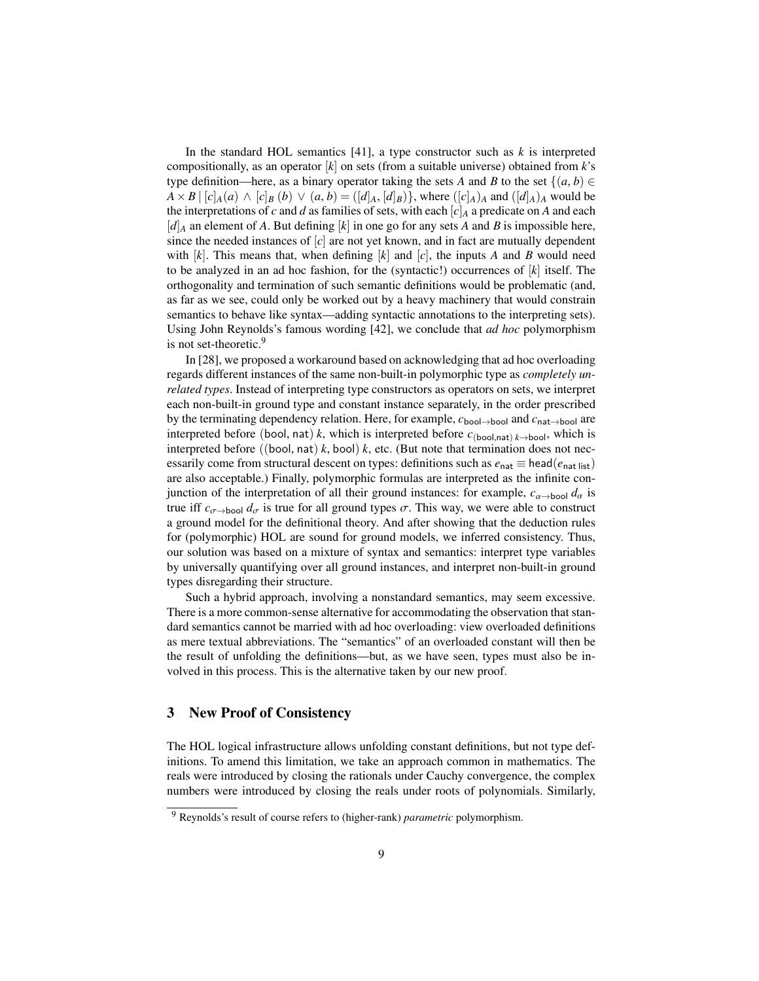In the standard HOL semantics  $[41]$ , a type constructor such as  $k$  is interpreted compositionally, as an operator [*k*] on sets (from a suitable universe) obtained from *k*'s type definition—here, as a binary operator taking the sets *A* and *B* to the set  $\{(a, b) \in$  $A \times B \mid [c]_A(a) \wedge [c]_B(b) \vee (a, b) = ([d]_A, [d]_B)$ , where  $([c]_A)_A$  and  $([d]_A)_A$  would be the interpretations of *c* and *d* as families of sets, with each  $[c]_A$  a predicate on *A* and each  $[d]_A$  an element of *A*. But defining  $[k]$  in one go for any sets *A* and *B* is impossible here, since the needed instances of  $[c]$  are not yet known, and in fact are mutually dependent with  $[k]$ . This means that, when defining  $[k]$  and  $[c]$ , the inputs  $A$  and  $B$  would need to be analyzed in an ad hoc fashion, for the (syntactic!) occurrences of [*k*] itself. The orthogonality and termination of such semantic definitions would be problematic (and, as far as we see, could only be worked out by a heavy machinery that would constrain semantics to behave like syntax—adding syntactic annotations to the interpreting sets). Using John Reynolds's famous wording [\[42\]](#page-22-16), we conclude that *ad hoc* polymorphism is not set-theoretic.<sup>[9](#page-8-1)</sup>

In [\[28\]](#page-22-6), we proposed a workaround based on acknowledging that ad hoc overloading regards different instances of the same non-built-in polymorphic type as *completely unrelated types*. Instead of interpreting type constructors as operators on sets, we interpret each non-built-in ground type and constant instance separately, in the order prescribed by the terminating dependency relation. Here, for example, *c*bool→bool and *c*nat→bool are interpreted before (bool, nat) *k*, which is interpreted before  $c_{\text{(bool,nat)}}$  *k*→bool, which is interpreted before ((bool, nat)  $k$ , bool)  $k$ , etc. (But note that termination does not necessarily come from structural descent on types: definitions such as  $e_{nat} \equiv head(e_{nat list})$ are also acceptable.) Finally, polymorphic formulas are interpreted as the infinite conjunction of the interpretation of all their ground instances: for example,  $c_{\alpha \to \text{bool}} d_{\alpha}$  is true iff  $c_{\sigma \to \text{bool}} d_{\sigma}$  is true for all ground types  $\sigma$ . This way, we were able to construct a ground model for the definitional theory. And after showing that the deduction rules for (polymorphic) HOL are sound for ground models, we inferred consistency. Thus, our solution was based on a mixture of syntax and semantics: interpret type variables by universally quantifying over all ground instances, and interpret non-built-in ground types disregarding their structure.

Such a hybrid approach, involving a nonstandard semantics, may seem excessive. There is a more common-sense alternative for accommodating the observation that standard semantics cannot be married with ad hoc overloading: view overloaded definitions as mere textual abbreviations. The "semantics" of an overloaded constant will then be the result of unfolding the definitions—but, as we have seen, types must also be involved in this process. This is the alternative taken by our new proof.

## <span id="page-8-0"></span>3 New Proof of Consistency

The HOL logical infrastructure allows unfolding constant definitions, but not type definitions. To amend this limitation, we take an approach common in mathematics. The reals were introduced by closing the rationals under Cauchy convergence, the complex numbers were introduced by closing the reals under roots of polynomials. Similarly,

<span id="page-8-1"></span><sup>9</sup> Reynolds's result of course refers to (higher-rank) *parametric* polymorphism.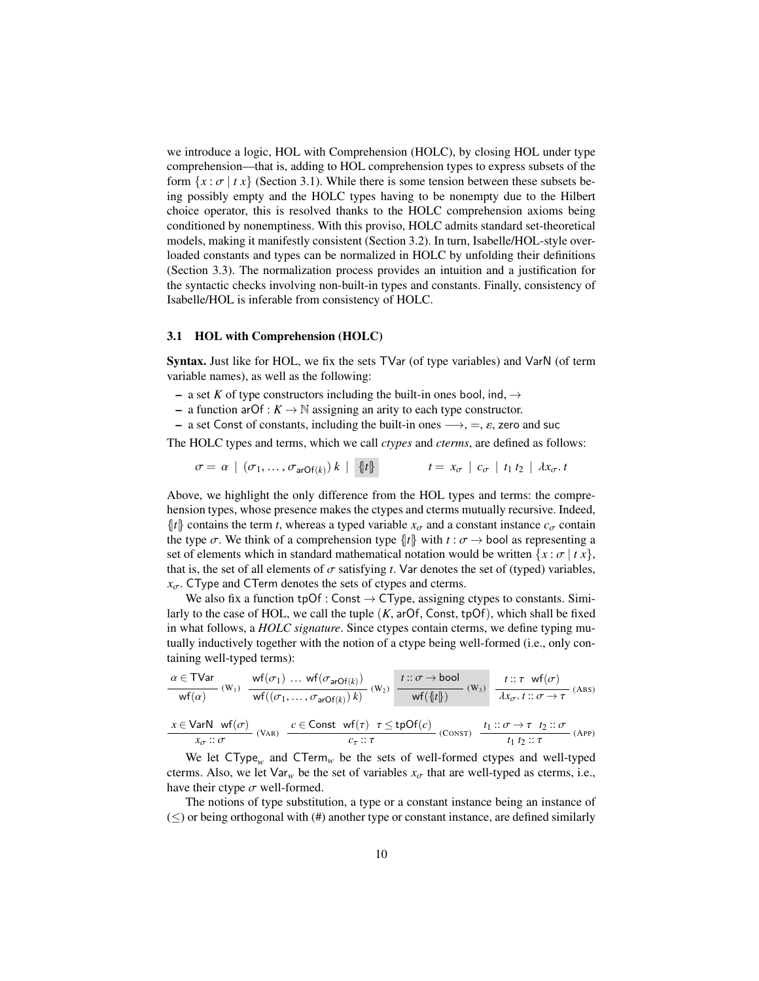we introduce a logic, HOL with Comprehension (HOLC), by closing HOL under type comprehension—that is, adding to HOL comprehension types to express subsets of the form  $\{x : \sigma | t x\}$  (Section [3.1\)](#page-9-0). While there is some tension between these subsets being possibly empty and the HOLC types having to be nonempty due to the Hilbert choice operator, this is resolved thanks to the HOLC comprehension axioms being conditioned by nonemptiness. With this proviso, HOLC admits standard set-theoretical models, making it manifestly consistent (Section [3.2\)](#page-11-0). In turn, Isabelle/HOL-style overloaded constants and types can be normalized in HOLC by unfolding their definitions (Section [3.3\)](#page-13-0). The normalization process provides an intuition and a justification for the syntactic checks involving non-built-in types and constants. Finally, consistency of Isabelle/HOL is inferable from consistency of HOLC.

#### <span id="page-9-0"></span>3.1 HOL with Comprehension (HOLC)

Syntax. Just like for HOL, we fix the sets TVar (of type variables) and VarN (of term variable names), as well as the following:

- a set K of type constructors including the built-in ones bool, ind,  $\rightarrow$
- a function arOf :  $K \to \mathbb{N}$  assigning an arity to each type constructor.
- a set Const of constants, including the built-in ones  $\longrightarrow$ , =,  $\varepsilon$ , zero and suc

The HOLC types and terms, which we call *ctypes* and *cterms*, are defined as follows:

$$
\sigma = \alpha \mid (\sigma_1, \ldots, \sigma_{\text{arOf}(k)}) k \mid \{ \mid t \} \qquad t = x_{\sigma} \mid c_{\sigma} \mid t_1 t_2 \mid \lambda x_{\sigma}. t
$$

Above, we highlight the only difference from the HOL types and terms: the comprehension types, whose presence makes the ctypes and cterms mutually recursive. Indeed,  $\{ |t| \}$  contains the term *t*, whereas a typed variable  $x_{\sigma}$  and a constant instance  $c_{\sigma}$  contain the type  $\sigma$ . We think of a comprehension type  $\{t\}$  with  $t : \sigma \to$  bool as representing a set of elements which in standard mathematical notation would be written  $\{x : \sigma \mid t x\}$ , that is, the set of all elements of  $\sigma$  satisfying *t*. Var denotes the set of (typed) variables,  $x_{\sigma}$ . CType and CTerm denotes the sets of ctypes and cterms.

We also fix a function  $tpOf: Const \rightarrow CType$ , assigning ctypes to constants. Similarly to the case of HOL, we call the tuple  $(K, arOf, Const, tpOf)$ , which shall be fixed in what follows, a *HOLC signature*. Since ctypes contain cterms, we define typing mutually inductively together with the notion of a ctype being well-formed (i.e., only containing well-typed terms):

$$
\frac{\alpha \in \text{TVar}}{\text{wf}(\alpha)} \cdot (W_1) \quad \frac{\text{wf}(\sigma_1) \dots \text{wf}(\sigma_{arOf(k)})}{\text{wf}((\sigma_1, \dots, \sigma_{arOf(k)}) k)} \cdot (W_2) \quad \frac{t::\sigma \to \text{bool}}{\text{wf}(\{t\})} \cdot (W_3) \quad \frac{t::\tau \quad \text{wf}(\sigma)}{\lambda x_{\sigma}.t::\sigma \to \tau} \cdot (\text{Abs})
$$
\n
$$
\frac{x \in \text{VarN} \quad \text{wf}(\sigma)}{x_{\sigma}::\sigma} \cdot (\text{VaR}) \quad \frac{c \in \text{Const} \quad \text{wf}(\tau) \quad \tau \le \text{tpOf}(c)}{c_{\tau}::\tau} \cdot (\text{CONST}) \quad \frac{t_1::\sigma \to \tau \quad t_2::\sigma}{t_1 \ t_2::\tau} \cdot (\text{APP})}
$$

We let CType*<sup>w</sup>* and CTerm*<sup>w</sup>* be the sets of well-formed ctypes and well-typed cterms. Also, we let  $\text{Var}_w$  be the set of variables  $x_{\sigma}$  that are well-typed as cterms, i.e., have their ctype  $\sigma$  well-formed.

The notions of type substitution, a type or a constant instance being an instance of  $(\le)$  or being orthogonal with (#) another type or constant instance, are defined similarly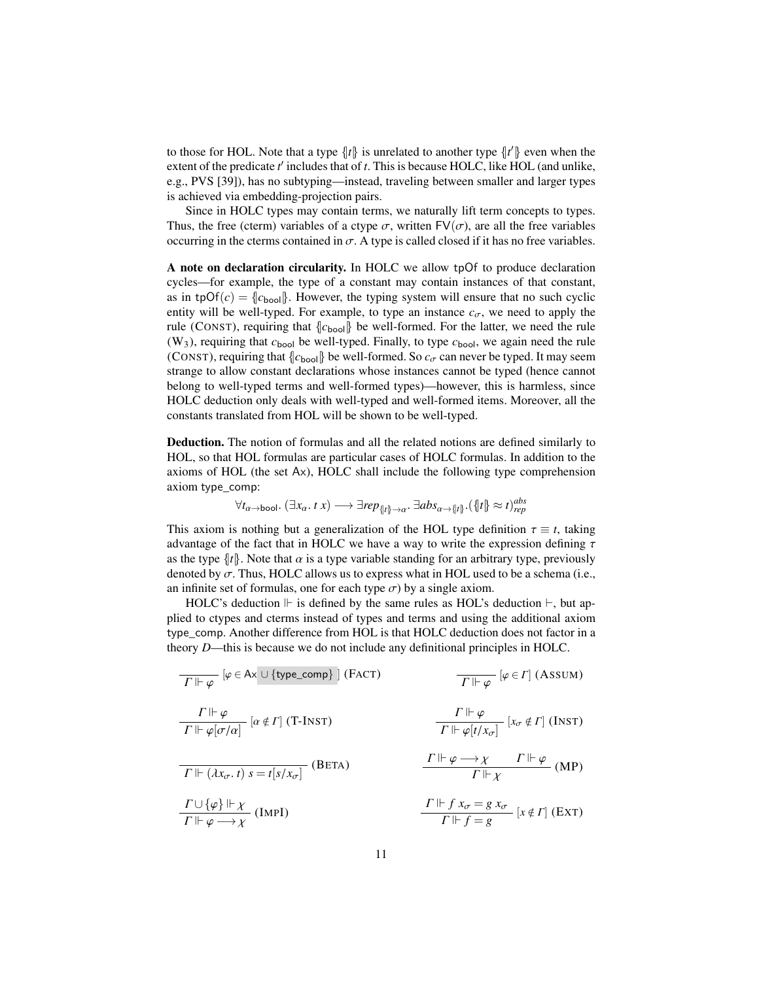to those for HOL. Note that a type  $\{ |t| \}$  is unrelated to another type  $\{ |t'| \}$  even when the extent of the predicate  $t'$  includes that of  $t$ . This is because HOLC, like HOL (and unlike, e.g., PVS [\[39\]](#page-22-17)), has no subtyping—instead, traveling between smaller and larger types is achieved via embedding-projection pairs.

Since in HOLC types may contain terms, we naturally lift term concepts to types. Thus, the free (cterm) variables of a ctype  $\sigma$ , written FV( $\sigma$ ), are all the free variables occurring in the cterms contained in  $\sigma$ . A type is called closed if it has no free variables.

A note on declaration circularity. In HOLC we allow tpOf to produce declaration cycles—for example, the type of a constant may contain instances of that constant, as in tpOf( $c$ ) =  $\{c_{\text{bool}}\}$ . However, the typing system will ensure that no such cyclic entity will be well-typed. For example, to type an instance  $c_{\sigma}$ , we need to apply the rule (CONST), requiring that  $\{c_{\text{bool}}\}$  be well-formed. For the latter, we need the rule  $(W_3)$ , requiring that  $c_{\text{bool}}$  be well-typed. Finally, to type  $c_{\text{bool}}$ , we again need the rule (CONST), requiring that  $\{c_{\text{bool}}\}$  be well-formed. So  $c_{\sigma}$  can never be typed. It may seem strange to allow constant declarations whose instances cannot be typed (hence cannot belong to well-typed terms and well-formed types)—however, this is harmless, since HOLC deduction only deals with well-typed and well-formed items. Moreover, all the constants translated from HOL will be shown to be well-typed.

Deduction. The notion of formulas and all the related notions are defined similarly to HOL, so that HOL formulas are particular cases of HOLC formulas. In addition to the axioms of HOL (the set Ax), HOLC shall include the following type comprehension axiom type\_comp:

$$
\forall t_{\alpha \to \text{bool}}.\ (\exists x_{\alpha}. \ t \ x) \longrightarrow \exists rep_{\{ |t| \to \alpha}.\ \exists abs_{\alpha \to \{ |t| \}}.(\{ |t| \} \approx t)_{rep}^{abs}
$$

This axiom is nothing but a generalization of the HOL type definition  $\tau \equiv t$ , taking advantage of the fact that in HOLC we have a way to write the expression defining  $\tau$ as the type  $\|t\|$ . Note that  $\alpha$  is a type variable standing for an arbitrary type, previously denoted by  $\sigma$ . Thus, HOLC allows us to express what in HOL used to be a schema (i.e., an infinite set of formulas, one for each type  $\sigma$ ) by a single axiom.

HOLC's deduction  $\mathbb F$  is defined by the same rules as HOL's deduction  $\mathbb F$ , but applied to ctypes and cterms instead of types and terms and using the additional axiom type\_comp. Another difference from HOL is that HOLC deduction does not factor in a theory *D*—this is because we do not include any definitional principles in HOLC.

| $T \Vdash \varphi$                                                                              | $[\varphi \in Ax \cup \{type\_comp\}]$ (FACT)                                                   | $T \Vdash \varphi$                    | $[\varphi \in \Gamma]$ (AssUM) |
|-------------------------------------------------------------------------------------------------|-------------------------------------------------------------------------------------------------|---------------------------------------|--------------------------------|
| $\frac{\Gamma \Vdash \varphi}{\Gamma \Vdash \varphi[\sigma/\alpha]}$                            | $[\alpha \notin \Gamma]$ (T-INT)                                                                |                                       |                                |
| $\frac{\Gamma \Vdash \varphi}{\Gamma \Vdash \varphi[\sigma/\alpha]}$                            | $\frac{\Gamma \Vdash \varphi}{\Gamma \Vdash \varphi[t/\chi_{\sigma}]}$                          | $[\chi_{\sigma} \notin \Gamma]$ (INT) |                                |
| $\frac{\Gamma \Vdash (\lambda x_{\sigma}. t) s = t[s/x_{\sigma}]}{\Gamma \Vdash \chi}$ (BETA)   | $\frac{\Gamma \Vdash \varphi \longrightarrow \chi}{\Gamma \Vdash \chi}$                         | $\Gamma \Vdash \varphi$ (MP)          |                                |
| $\frac{\Gamma \cup \{\varphi\} \Vdash \chi}{\Gamma \Vdash \varphi \longrightarrow \chi}$ (IMPI) | $\frac{\Gamma \Vdash f x_{\sigma} = g x_{\sigma}}{\Gamma \Vdash f = g} [x \notin \Gamma]$ (EXT) |                                       |                                |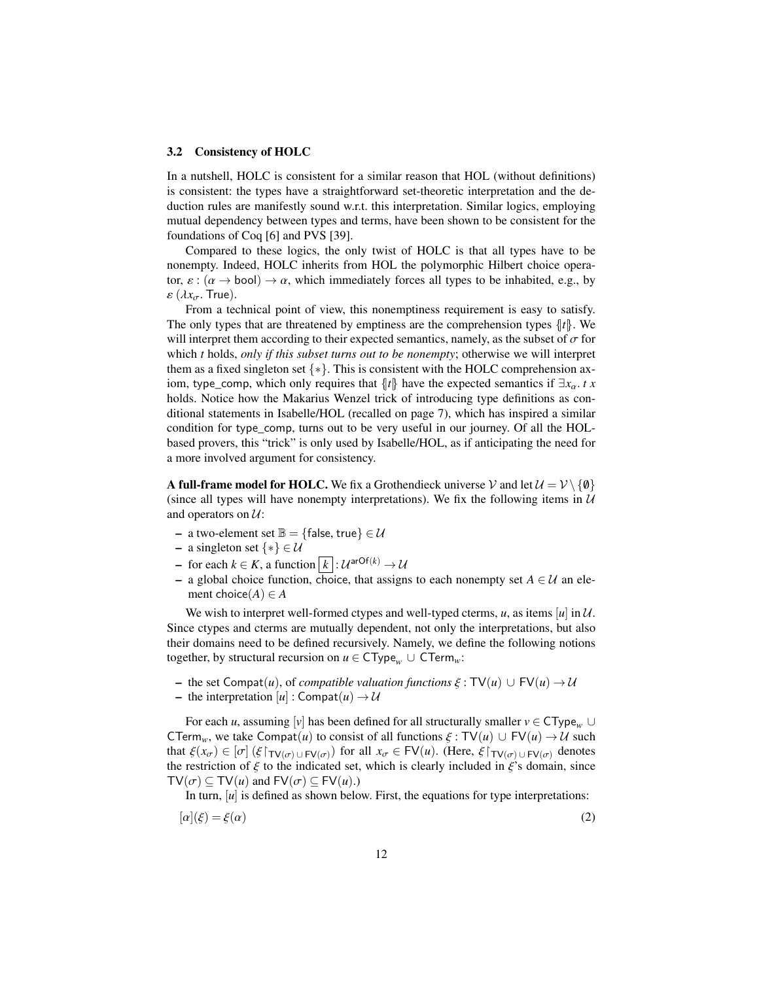#### <span id="page-11-0"></span>3.2 Consistency of HOLC

In a nutshell, HOLC is consistent for a similar reason that HOL (without definitions) is consistent: the types have a straightforward set-theoretic interpretation and the deduction rules are manifestly sound w.r.t. this interpretation. Similar logics, employing mutual dependency between types and terms, have been shown to be consistent for the foundations of Coq [\[6\]](#page-21-16) and PVS [\[39\]](#page-22-17).

Compared to these logics, the only twist of HOLC is that all types have to be nonempty. Indeed, HOLC inherits from HOL the polymorphic Hilbert choice operator,  $\varepsilon$  :  $(\alpha \to \text{bool}) \to \alpha$ , which immediately forces all types to be inhabited, e.g., by  $\varepsilon(\lambda x_{\sigma}$ . True).

From a technical point of view, this nonemptiness requirement is easy to satisfy. The only types that are threatened by emptiness are the comprehension types  $\{t\}$ . We will interpret them according to their expected semantics, namely, as the subset of  $\sigma$  for which *t* holds, *only if this subset turns out to be nonempty*; otherwise we will interpret them as a fixed singleton set  $\{*\}$ . This is consistent with the HOLC comprehension axiom, type\_comp, which only requires that  $\{ |t| \}$  have the expected semantics if  $\exists x_{\alpha}$ . *t x* holds. Notice how the Makarius Wenzel trick of introducing type definitions as conditional statements in Isabelle/HOL (recalled on page [7\)](#page-6-2), which has inspired a similar condition for type\_comp, turns out to be very useful in our journey. Of all the HOLbased provers, this "trick" is only used by Isabelle/HOL, as if anticipating the need for a more involved argument for consistency.

A full-frame model for HOLC. We fix a Grothendieck universe V and let  $\mathcal{U} = \mathcal{V} \setminus \{\emptyset\}$ (since all types will have nonempty interpretations). We fix the following items in  $U$ and operators on  $U$ :

- a two-element set  $\mathbb{B} = \{\text{false}, \text{true}\} \in \mathcal{U}$
- a singleton set  $\{*\} \in \mathcal{U}$
- $\rightarrow$  for each *k* ∈ *K*, a function  $\vert k \vert : \mathcal{U}^{\text{arOf}(k)} \rightarrow \mathcal{U}$
- a global choice function, choice, that assigns to each nonempty set *A* ∈ U an element choice $(A) \in A$

We wish to interpret well-formed ctypes and well-typed cterms,  $u$ , as items  $[u]$  in  $U$ . Since ctypes and cterms are mutually dependent, not only the interpretations, but also their domains need to be defined recursively. Namely, we define the following notions together, by structural recursion on  $u \in CType_w \cup CTerm_w$ :

- $-$  the set Compat $(u)$ , of *compatible valuation functions*  $\xi : TV(u) \cup FV(u) \rightarrow \mathcal{U}$
- the interpretation  $[u]$  : Compat $(u) \rightarrow \mathcal{U}$

For each *u*, assuming [*v*] has been defined for all structurally smaller  $v \in CType_w \cup$ CTerm<sub>*w*</sub>, we take Compat(*u*) to consist of all functions  $\xi : TV(u) \cup FV(u) \rightarrow U$  such that  $\xi(x_{\sigma}) \in [\sigma]$  ( $\xi \upharpoonright_{\mathsf{TV}(\sigma) \cup \mathsf{FV}(\sigma)}$ ) for all  $x_{\sigma} \in \mathsf{FV}(u)$ . (Here,  $\xi \upharpoonright_{\mathsf{TV}(\sigma) \cup \mathsf{FV}(\sigma)}$  denotes the restriction of  $\xi$  to the indicated set which is clearly included in  $\xi$ 's domain sinc the restriction of  $\xi$  to the indicated set, which is clearly included in  $\xi$ 's domain, since  $TV(\sigma) \subset TV(u)$  and  $FV(\sigma) \subset FV(u)$ .)

In turn,  $[u]$  is defined as shown below. First, the equations for type interpretations:

$$
[\alpha](\xi) = \xi(\alpha) \tag{2}
$$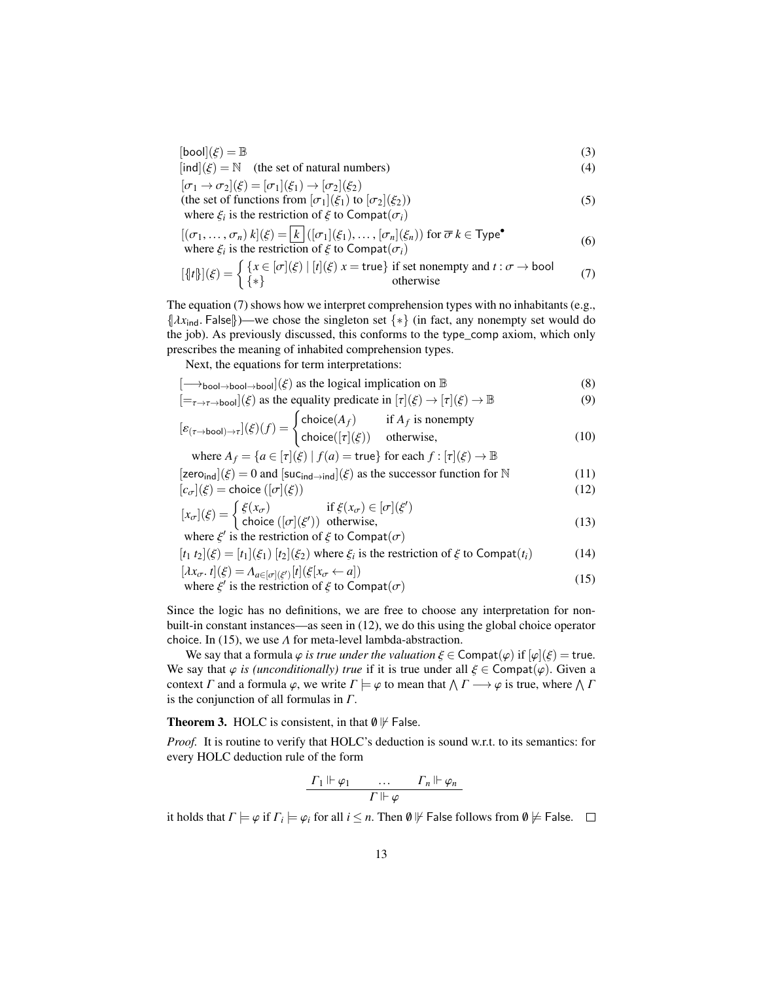$$
[\text{bool}](\xi) = \mathbb{B}
$$
\n
$$
[\text{ind}](\xi) = \mathbb{N} \quad \text{(the set of natural numbers)} \tag{3}
$$

 $[\text{ind}](\xi) = \mathbb{N}$  (the set of natural numbers) (4)

 $[\sigma_1 \rightarrow \sigma_2](\xi) = [\sigma_1](\xi_1) \rightarrow [\sigma_2](\xi_2)$ (the set of functions from  $[\sigma_1](\xi_1)$  to  $[\sigma_2](\xi_2)$ )

where  $\xi_i$  is the restriction of  $\xi$  to Compat( $\sigma_i$ ) (5)

$$
[(\sigma_1, \ldots, \sigma_n) k](\xi) = \boxed{k} ((\sigma_1)(\xi_1), \ldots, [\sigma_n](\xi_n)) \text{ for } \overline{\sigma} k \in \text{Type}^{\bullet}
$$
  
where  $\xi_i$  is the restriction of  $\xi$  to  $\text{Compat}(\sigma_i)$ 

<span id="page-12-0"></span>
$$
[\![t]\!] \big( \xi \big) = \begin{cases} \{ x \in [\sigma] (\xi) \mid [t] (\xi) \ x = \text{true} \} \text{ if set nonempty and } t : \sigma \to \text{bool} \\ \{ * \} \end{cases} \tag{7}
$$

The equation [\(7\)](#page-12-0) shows how we interpret comprehension types with no inhabitants (e.g.,  $\{\lambda x_{\text{ind}}\}$ . False $\}$ )—we chose the singleton set  $\{*\}$  (in fact, any nonempty set would do the job). As previously discussed, this conforms to the type\_comp axiom, which only prescribes the meaning of inhabited comprehension types.

Next, the equations for term interpretations:

$$
[\longrightarrow_{\text{bool}\to\text{bool}\to\text{bool}}](\xi) \text{ as the logical implication on } \mathbb{B}
$$
\n
$$
[\square](\xi) \text{ as the equality predicate in } [\pi](\xi) \to [\pi](\xi) \to \mathbb{B}
$$
\n(8)

$$
[=_{\tau \to \tau \to \text{bool}}](\xi) \text{ as the equality predicate in } [\tau](\xi) \to [\tau](\xi) \to \mathbb{B}
$$
 (9)

$$
[\varepsilon_{(\tau \to \text{bool}) \to \tau}](\xi)(f) = \begin{cases} \text{choice}(A_f) & \text{if } A_f \text{ is nonempty} \\ \text{choice}([\tau](\xi)) & \text{otherwise,} \end{cases} \tag{10}
$$

where  $A_f = \{a \in [\tau](\xi) \mid f(a) = \text{true}\}$  for each  $f : [\tau](\xi) \to \mathbb{B}$  $[zero_{ind}](\xi) = 0$  and  $[succ_{ind}\rightarrow ind](\xi)$  as the successor function for N (11)<br> $[c_1](\xi)$  - choice  $([c_1](\xi))$  (12)  $[c_1(\xi) - \text{choice}(\sigma(\xi))$ 

$$
[x_{\sigma}](\xi) = \text{choice}([\sigma](\xi))
$$
  
\n
$$
[x_{\sigma}](\xi) = \begin{cases} \xi(x_{\sigma}) & \text{if } \xi(x_{\sigma}) \in [\sigma](\xi') \\ \text{choice}([\sigma](\xi')) & \text{otherwise,} \end{cases}
$$
 (13)

<span id="page-12-1"></span>choice  $([\sigma](\xi'))$  otherwise, where  $\xi'$  is the restriction of  $\xi$  to Compat $(\sigma)$ <br>to  $\lambda^{(k)}$  is  $\lambda^{(k)}$ . It  $\lambda^{(k)}$  is the sector

$$
[t_1 \ t_2](\xi) = [t_1](\xi_1) \ [t_2](\xi_2) \text{ where } \xi_i \text{ is the restriction of } \xi \text{ to } \text{Compat}(t_i)
$$
 (14)

$$
[\lambda x_{\sigma}. t](\xi) = \Lambda_{a \in [\sigma](\xi')}[t](\xi[x_{\sigma} \leftarrow a])
$$
  
where  $\xi'$  is the restriction of  $\xi$  to  $\text{Compat}(\sigma)$  (15)

Since the logic has no definitions, we are free to choose any interpretation for nonbuilt-in constant instances—as seen in [\(12\)](#page-12-1), we do this using the global choice operator choice. In [\(15\)](#page-12-2), we use  $\Lambda$  for meta-level lambda-abstraction.

We say that a formula  $\varphi$  *is true under the valuation*  $\xi \in \text{Compat}(\varphi)$  if  $[\varphi](\xi) = \text{true}$ . We say that  $\varphi$  *is (unconditionally) true* if it is true under all  $\xi \in \text{Compat}(\varphi)$ . Given a context  $\Gamma$  and a formula  $\varphi$ , we write  $\Gamma \models \varphi$  to mean that  $\bigwedge \Gamma \longrightarrow \varphi$  is true, where  $\bigwedge \Gamma$  is the conjunction of all formulas in  $\Gamma$ is the conjunction of all formulas in  $\Gamma$ .

<span id="page-12-3"></span>**Theorem 3.** HOLC is consistent, in that  $\emptyset \not\vdash$  False.

*Proof.* It is routine to verify that HOLC's deduction is sound w.r.t. to its semantics: for every HOLC deduction rule of the form

<span id="page-12-2"></span>
$$
\frac{\Gamma_1 \Vdash \varphi_1 \qquad \ldots \qquad \Gamma_n \Vdash \varphi_n}{\Gamma \Vdash \varphi}
$$

it holds that  $\Gamma \models \varphi$  if  $\Gamma_i \models \varphi_i$  for all  $i \leq n$ . Then  $\emptyset \not \Vdash$  False follows from  $\emptyset \not \models$  False.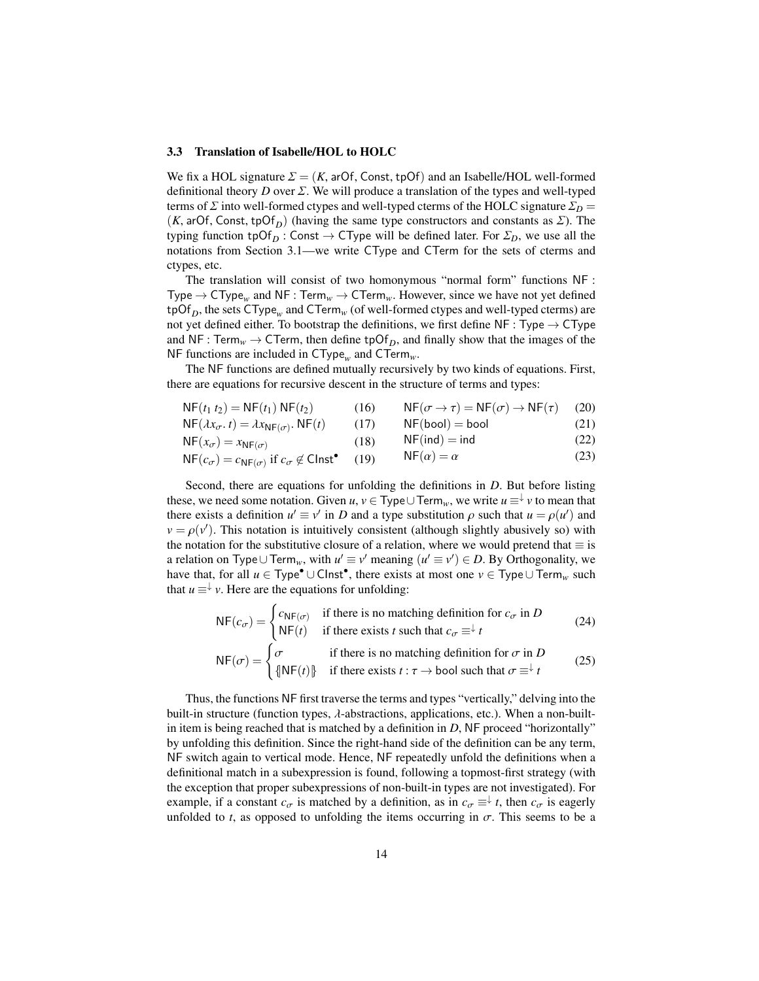#### <span id="page-13-0"></span>3.3 Translation of Isabelle/HOL to HOLC

We fix a HOL signature  $\Sigma = (K, \text{arOf}, \text{Const}, \text{tpOf})$  and an Isabelle/HOL well-formed definitional theory *D* over  $\Sigma$ . We will produce a translation of the types and well-typed terms of  $\Sigma$  into well-formed ctypes and well-typed cterms of the HOLC signature  $\Sigma_D$  = (*K*, arOf, Const, tpOf<sub>*D*</sub>) (having the same type constructors and constants as  $\Sigma$ ). The typing function tpOf<sub>D</sub>: Const  $\rightarrow$  CType will be defined later. For  $\Sigma_D$ , we use all the notations from Section [3.1—](#page-9-0)we write CType and CTerm for the sets of cterms and ctypes, etc.

The translation will consist of two homonymous "normal form" functions NF : Type  $\rightarrow$  CType<sub>w</sub> and NF : Term<sub>*w*</sub>  $\rightarrow$  CTerm<sub>*w*</sub>. However, since we have not yet defined  $\text{tpOf}_D$ , the sets  $\text{CType}_w$  and  $\text{CTerm}_w$  (of well-formed ctypes and well-typed cterms) are not yet defined either. To bootstrap the definitions, we first define  $NF: Type \rightarrow CType$ and NF : Term<sub>*w*</sub>  $\rightarrow$  CTerm, then define tpOf<sub>*D*</sub>, and finally show that the images of the NF functions are included in CType*<sup>w</sup>* and CTerm*w*.

The NF functions are defined mutually recursively by two kinds of equations. First, there are equations for recursive descent in the structure of terms and types:

| $NF(t_1 t_2) = NF(t_1) NF(t_2)$ | (16) $NF(\sigma \rightarrow \tau) = NF(\sigma) \rightarrow NF(\tau)$ (20) |       |
|---------------------------------|---------------------------------------------------------------------------|-------|
| NE ( ) ) NE ( ) (15) NE ( )     |                                                                           | (2.1) |

$$
NF(\lambda x_{\sigma}, t) = \lambda x_{NF(\sigma)}. NF(t) \qquad (17) \qquad NF(bool) = bool \qquad (21)
$$

$$
NF(x_{\sigma}) = x_{NF(\sigma)} \tag{22}
$$
\n
$$
NF(x_{\sigma}) = \text{Tr}(x) \tag{23}
$$
\n
$$
NF(x_{\sigma}) = \text{Tr}(x) \tag{24}
$$

$$
NF(c_{\sigma}) = c_{NF(\sigma)} \text{ if } c_{\sigma} \notin \text{Clnst}^{\bullet} \quad (19) \qquad NF(\alpha) = \alpha \tag{23}
$$

Second, there are equations for unfolding the definitions in *D*. But before listing these, we need some notation. Given *u*,  $v \in Type \cup Term_w$ , we write  $u = \frac{v}{v}$  to mean that there exists a definition  $u' = v'$  in *D* and a type substitution *o* such that  $u = o(u')$  and there exists a definition  $u' \equiv v'$  in *D* and a type substitution  $\rho$  such that  $u = \rho(u')$  and  $v = \rho(v')$ . This notation is intuitively consistent (although slightly abusively so) with  $v = \rho(v')$ . This notation is intuitively consistent (although slightly abusively so) with the notation for the substitutive closure of a relation where we would pretend that  $\equiv$  is the notation for the substitutive closure of a relation, where we would pretend that  $\equiv$  is a relation on Type∪ Term<sub>*w*</sub>, with  $u' \equiv v'$  meaning  $(u' \equiv v') \in D$ . By Orthogonality, we have that, for all  $u \in Type^{\bullet} \cup$  Clnst<sup>•</sup>, there exists at most one  $v \in Type \cup Term_w$  such that  $u \equiv \downarrow v$ . Here are the equations for unfolding:

$$
NF(c_{\sigma}) = \begin{cases} c_{NF(\sigma)} & \text{if there is no matching definition for } c_{\sigma} \text{ in } D \\ NF(t) & \text{if there exists } t \text{ such that } c_{\sigma} \equiv^{\downarrow} t \end{cases}
$$
(24)  

$$
NF(\sigma) = \begin{cases} \sigma & \text{if there is no matching definition for } \sigma \text{ in } D \\ \{NF(t)\} & \text{if there exists } t : \tau \to \text{bool such that } \sigma \equiv^{\downarrow} t \end{cases}
$$
(25)

Thus, the functions NF first traverse the terms and types "vertically," delving into the built-in structure (function types,  $\lambda$ -abstractions, applications, etc.). When a non-builtin item is being reached that is matched by a definition in *D*, NF proceed "horizontally" by unfolding this definition. Since the right-hand side of the definition can be any term, NF switch again to vertical mode. Hence, NF repeatedly unfold the definitions when a definitional match in a subexpression is found, following a topmost-first strategy (with the exception that proper subexpressions of non-built-in types are not investigated). For example, if a constant  $c_{\sigma}$  is matched by a definition, as in  $c_{\sigma} \equiv^{\downarrow} t$ , then  $c_{\sigma}$  is eagerly unfolded to *t*, as opposed to unfolding the items occurring in  $\sigma$ . This seems to be a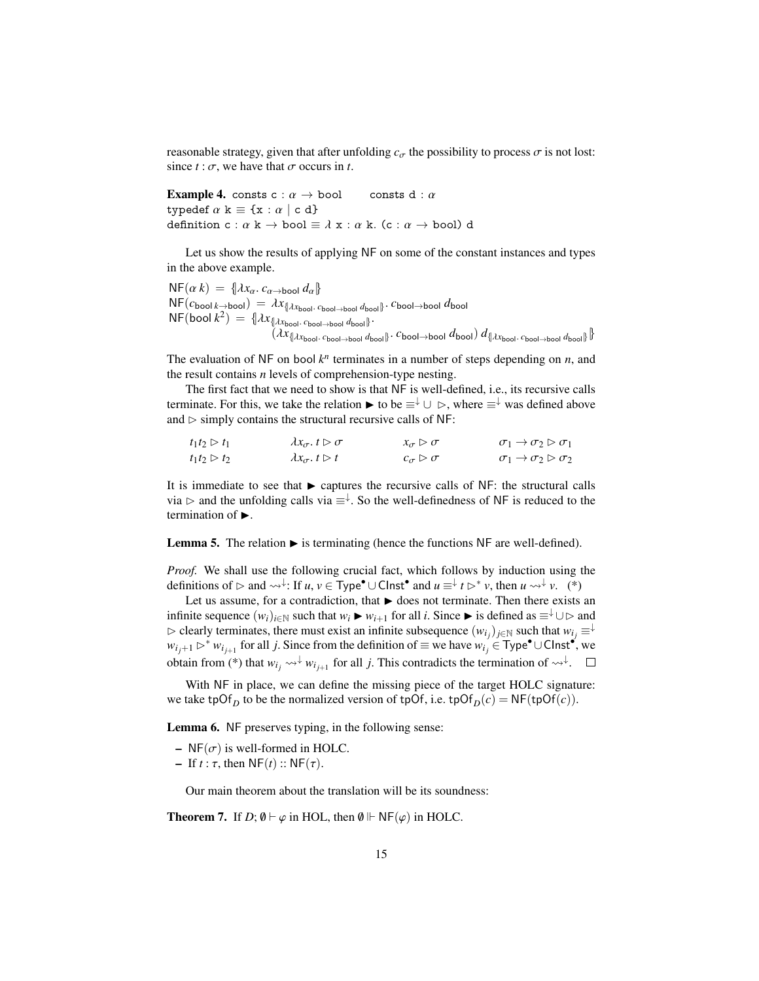reasonable strategy, given that after unfolding  $c_{\sigma}$  the possibility to process  $\sigma$  is not lost: since  $t : \sigma$ , we have that  $\sigma$  occurs in *t*.

**Example 4.** consts c :  $\alpha \rightarrow$  bool consts d :  $\alpha$ typedef  $\alpha$  k  $\equiv \{x : \alpha \mid c \ d\}$ definition c :  $\alpha$  k  $\rightarrow$  bool  $\equiv \lambda$  x :  $\alpha$  k. (c :  $\alpha \rightarrow$  bool) d

Let us show the results of applying NF on some of the constant instances and types in the above example.

 $N F(\alpha k) = \{ \lambda x_{\alpha} \cdot c_{\alpha \rightarrow \text{bool}} d_{\alpha} \}$  $N\mathsf{F}(c_{\mathsf{bool}}|_{k\to\mathsf{bool}}) = \lambda x_{\{\lambda x_{\mathsf{bool}}\cdot c_{\mathsf{bool}\to\mathsf{bool}} d_{\mathsf{bool}}\}}$ . *c*bool→bool *d*bool  $N$ F(bool  $k^2$ ) = { $\lambda x_{\text{[lambda} \text{bool} \rightarrow \text{bool} \text{phot}}$  *d*<sub>bool</sub>}.  $(\lambda x_{\{\lambda x_{\text{bool}}\cdot\text{quad}-\text{bool}}\ d_{\text{bool}}\}$ . *c*bool→bool *d*bool)  $d_{\{\lambda x_{\text{bool}}\cdot\text{quad}-\text{bool}}\ d_{\text{bool}}\}$ 

The evaluation of NF on bool  $k^n$  terminates in a number of steps depending on  $n$ , and the result contains *n* levels of comprehension-type nesting.

The first fact that we need to show is that NF is well-defined, i.e., its recursive calls terminate. For this, we take the relation  $\triangleright$  to be  $\equiv^{\downarrow} \cup \triangleright$ , where  $\equiv^{\downarrow}$  was defined above and  $\triangleright$  simply contains the structural recursive calls of NF:

| $t_1t_2 \triangleright t_1$ | $\lambda x_{\sigma}. t \triangleright \sigma$ | $x_{\sigma} \triangleright \sigma$ | $\sigma_1 \rightarrow \sigma_2 \triangleright \sigma_1$ |
|-----------------------------|-----------------------------------------------|------------------------------------|---------------------------------------------------------|
| $t_1t_2 \triangleright t_2$ | $\lambda x_{\sigma}. t \triangleright t$      | $c_{\sigma} \triangleright \sigma$ | $\sigma_1 \rightarrow \sigma_2 \triangleright \sigma_2$ |

It is immediate to see that  $\blacktriangleright$  captures the recursive calls of NF: the structural calls via  $\triangleright$  and the unfolding calls via  $\equiv^{\downarrow}$ . So the well-definedness of NF is reduced to the termination of  $\blacktriangleright$ .

**Lemma 5.** The relation  $\triangleright$  is terminating (hence the functions NF are well-defined).

*Proof.* We shall use the following crucial fact, which follows by induction using the definitions of  $\rhd$  and  $\leadsto^{\downarrow}$ : If *u*, *v* ∈ Type<sup>•</sup> ∪ Clnst<sup>•</sup> and *u* ≡ ↓ *t*  $\rhd^* v$ , then *u*  $\leadsto^{\downarrow} v$ . (\*)

Let us assume, for a contradiction, that  $\blacktriangleright$  does not terminate. Then there exists an infinite sequence  $(w_i)_{i \in \mathbb{N}}$  such that  $w_i \triangleright w_{i+1}$  for all *i*. Since  $\triangleright$  is defined as  $\equiv^{\downarrow} \cup \triangleright$  and  $\triangleright$  clearly terminates, there must exist an infinite subsequence  $(w_{i_j})_{j \in \mathbb{N}}$  such that  $w_{i_j} \equiv \downarrow$ *w*<sub>*ij*+1</sub>  $\triangleright$ <sup>\*</sup> *w*<sub>*i<sub>j+1</sub>* for all *j*. Since from the definition of ≡ we have  $w_i$ <sup>2</sup> ∈ Type• ∪ Clnst•, we</sub> obtain from (\*) that  $w_{i_j} \leadsto \forall w_{i_{j+1}}$  for all *j*. This contradicts the termination of  $\leadsto \forall$ .

With NF in place, we can define the missing piece of the target HOLC signature: we take tpOf<sub>D</sub> to be the normalized version of tpOf, i.e. tpOf<sub>D</sub> $(c)$  = NF(tpOf $(c)$ ).

Lemma 6. NF preserves typing, in the following sense:

- NF( $\sigma$ ) is well-formed in HOLC.
- If *<sup>t</sup>* : τ, then NF(*t*) :: NF(τ).

Our main theorem about the translation will be its soundness:

<span id="page-14-0"></span>**Theorem 7.** If  $D$ ;  $\emptyset \vdash \varphi$  in HOL, then  $\emptyset \Vdash N \mathsf{F}(\varphi)$  in HOLC.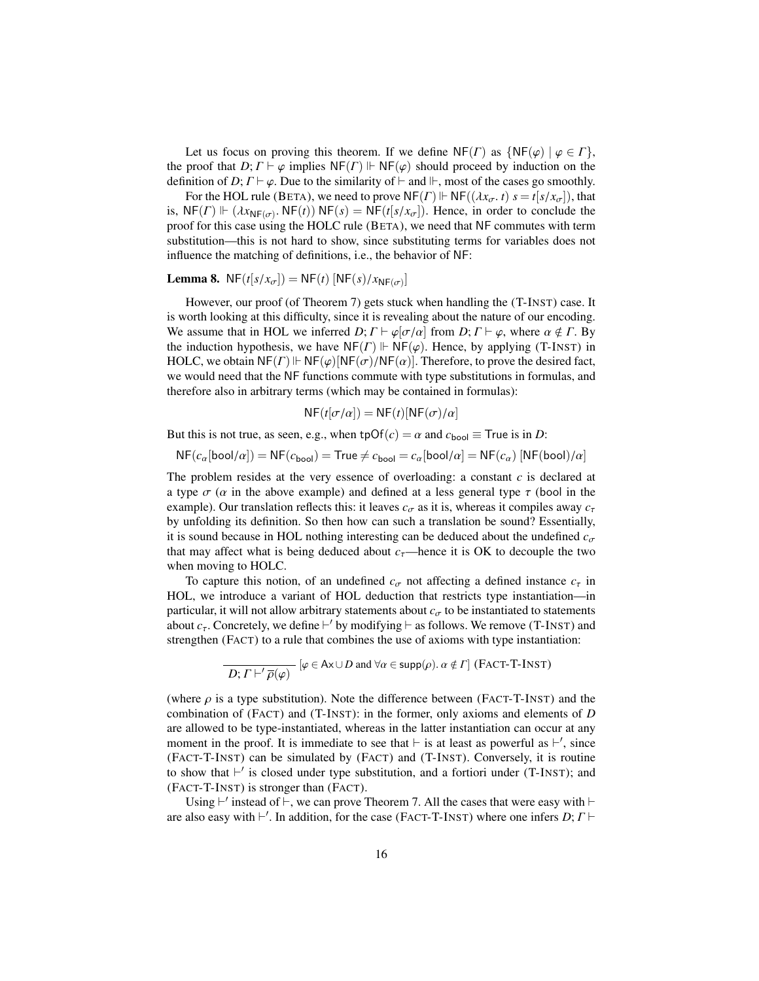Let us focus on proving this theorem. If we define  $N F(\Gamma)$  as  $\{N F(\varphi) \mid \varphi \in \Gamma\}$ , the proof that  $D; \Gamma \vdash \varphi$  implies  $NF(\Gamma) \Vdash NF(\varphi)$  should proceed by induction on the definition of *D*;  $\Gamma \vdash \varphi$ . Due to the similarity of  $\vdash$  and  $\Vdash$ , most of the cases go smoothly.

For the HOL rule (BETA), we need to prove  $NF(\Gamma) \Vdash NF((\lambda x_{\sigma}, t) \ s = t[s/x_{\sigma}])$ , that is,  $NF(\Gamma) \Vdash (\lambda x_{NF(\sigma)} \cdot NF(t)) \cdot NF(s) = NF(t[s/x_{\sigma}])$ . Hence, in order to conclude the proof for this case using the HOLC rule (BETA), we need that NE commutes with term proof for this case using the HOLC rule (BETA), we need that NF commutes with term substitution—this is not hard to show, since substituting terms for variables does not influence the matching of definitions, i.e., the behavior of NF:

## **Lemma 8.**  $NF(t[s/x_{\sigma}]) = NF(t) [NF(s)/x_{NF(\sigma)}]$

However, our proof (of Theorem [7\)](#page-14-0) gets stuck when handling the (T-INST) case. It is worth looking at this difficulty, since it is revealing about the nature of our encoding. We assume that in HOL we inferred *D*;  $\Gamma \vdash \varphi[\sigma/\alpha]$  from *D*;  $\Gamma \vdash \varphi$ , where  $\alpha \notin \Gamma$ . By the induction hypothesis, we have  $NF(\Gamma) \Vdash NF(\varphi)$ . Hence, by applying (T-INST) in HOLC, we obtain  $NF(\Gamma) \Vdash NF(\varphi) [NF(\sigma)/NF(\alpha)]$ . Therefore, to prove the desired fact, we would need that the NF functions commute with type substitutions in formulas, and therefore also in arbitrary terms (which may be contained in formulas):

$$
NF(t[\sigma/\alpha]) = NF(t)[NF(\sigma)/\alpha]
$$

But this is not true, as seen, e.g., when  $tpOf(c) = \alpha$  and  $c_{bool} \equiv True$  is in *D*:

 $NF(c_{\alpha}[\text{bool}/\alpha]) = NF(c_{\text{bool}}) = True \neq c_{\text{bool}} = c_{\alpha}[\text{bool}/\alpha] = NF(c_{\alpha}) \left[NF(\text{bool})/\alpha\right]$ 

The problem resides at the very essence of overloading: a constant *c* is declared at a type  $\sigma$  ( $\alpha$  in the above example) and defined at a less general type  $\tau$  (bool in the example). Our translation reflects this: it leaves  $c_{\sigma}$  as it is, whereas it compiles away  $c_{\tau}$ by unfolding its definition. So then how can such a translation be sound? Essentially, it is sound because in HOL nothing interesting can be deduced about the undefined  $c_{\sigma}$ that may affect what is being deduced about  $c<sub>\tau</sub>$ —hence it is OK to decouple the two when moving to HOLC.

To capture this notion, of an undefined  $c_{\sigma}$  not affecting a defined instance  $c_{\tau}$  in HOL, we introduce a variant of HOL deduction that restricts type instantiation—in particular, it will not allow arbitrary statements about  $c_{\sigma}$  to be instantiated to statements about  $c_{\tau}$ . Concretely, we define  $\vdash'$  by modifying  $\vdash$  as follows. We remove (T-INST) and strengthen (FACT) to a rule that combines the use of axioms with type instantiation:

$$
\overline{D; \Gamma \vdash' \overline{\rho}(\varphi)} \quad [\varphi \in A \times \cup D \text{ and } \forall \alpha \in \text{supp}(\rho). \ \alpha \notin \Gamma] \text{ (FACT-T-INST)}
$$

(where  $\rho$  is a type substitution). Note the difference between (FACT-T-INST) and the combination of (FACT) and (T-INST): in the former, only axioms and elements of *D* are allowed to be type-instantiated, whereas in the latter instantiation can occur at any moment in the proof. It is immediate to see that  $\vdash$  is at least as powerful as  $\vdash'$ , since (FACT-T-INST) can be simulated by (FACT) and (T-INST). Conversely, it is routine to show that  $\vdash'$  is closed under type substitution, and a fortiori under (T-INST); and (FACT-T-INST) is stronger than (FACT).

Using  $\vdash'$  instead of  $\vdash$ , we can prove Theorem [7.](#page-14-0) All the cases that were easy with  $\vdash$ are also easy with  $\vdash'$ . In addition, for the case (FACT-T-INST) where one infers *D*;  $\Gamma \vdash$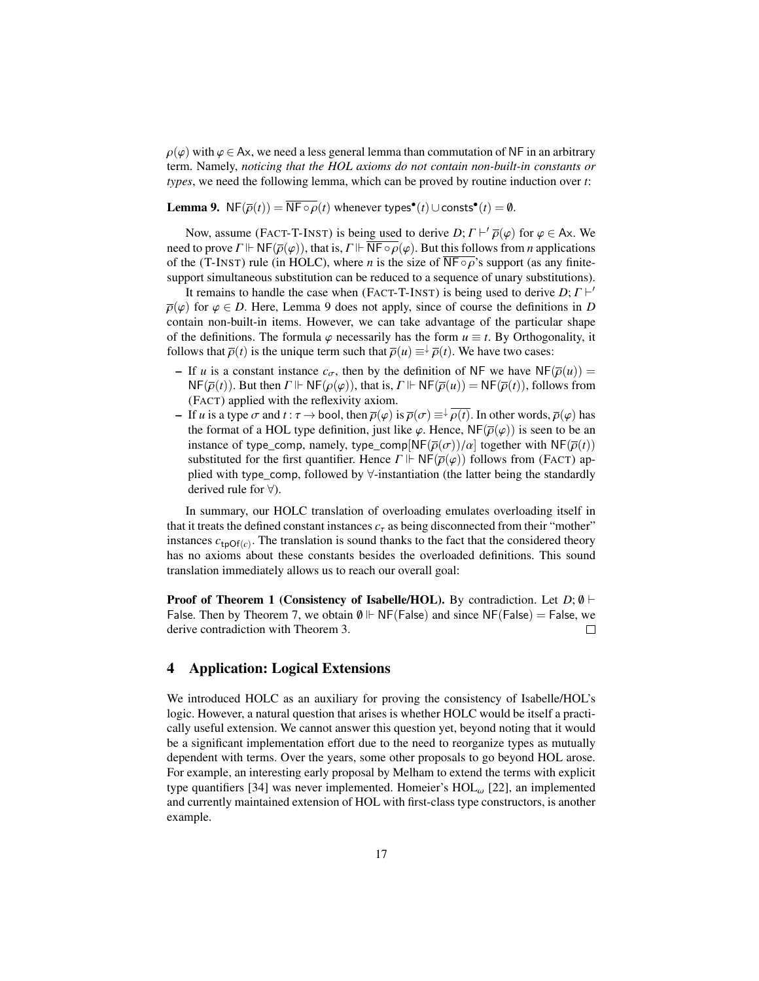$\rho(\varphi)$  with  $\varphi \in Ax$ , we need a less general lemma than commutation of NF in an arbitrary term. Namely, *noticing that the HOL axioms do not contain non-built-in constants or types*, we need the following lemma, which can be proved by routine induction over *t*:

# <span id="page-16-1"></span>**Lemma 9.** NF( $\overline{\rho}(t)$ ) =  $\overline{\text{NF} \circ \rho}(t)$  whenever types<sup>•</sup>( $t$ ) ∪ consts<sup>•</sup>( $t$ ) =  $\emptyset$ .

Now, assume (FACT-T-INST) is being used to derive *D*;  $\Gamma \vdash \overline{\rho}(\varphi)$  for  $\varphi \in Ax$ . We discuss to the  $\Gamma \vdash \mathsf{NE}(\overline{\rho}(\varphi))$  that is  $\Gamma \vdash \overline{\mathsf{NE}} \circ \overline{\rho}(\varphi)$ . But this follows from *n* applications need to prove  $\Gamma \Vdash N \mathsf{F}(\overline{\rho}(\varphi))$ , that is,  $\Gamma \Vdash \overline{N \mathsf{F} \circ \rho(\varphi)}$ . But this follows from *n* applications of the (T-INST) rule (in HOLC), where *n* is the size of  $\overline{NF \circ \rho}$ 's support (as any finitesupport simultaneous substitution can be reduced to a sequence of unary substitutions).

It remains to handle the case when (FACT-T-INST) is being used to derive *D*;  $\Gamma \vdash'$ <br>(b) for  $\varnothing \in D$ . Here I emma 9 does not apply since of course the definitions in *D*  $\overline{\rho}(\varphi)$  for  $\varphi \in D$ . Here, Lemma [9](#page-16-1) does not apply, since of course the definitions in *D* contain non-built-in items. However, we can take advantage of the particular shape of the definitions. The formula  $\varphi$  necessarily has the form  $u \equiv t$ . By Orthogonality, it follows that  $\overline{\rho}(t)$  is the unique term such that  $\overline{\rho}(u) \equiv^{\downarrow} \overline{\rho}(t)$ . We have two cases:

- If *u* is a constant instance  $c_{\sigma}$ , then by the definition of NF we have NF( $\overline{\rho}(u)$ ) =  $NF(\overline{\rho}(t))$ . But then  $\Gamma \Vdash NF(\rho(\varphi))$ , that is,  $\Gamma \Vdash NF(\overline{\rho}(u)) = NF(\overline{\rho}(t))$ , follows from (FACT) applied with the reflexivity axiom.
- If *u* is a type  $\sigma$  and  $t : \tau \to \text{bool}$ , then  $\overline{\rho}(\varphi)$  is  $\overline{\rho}(\sigma) \equiv \sqrt{\rho(t)}$ . In other words,  $\overline{\rho}(\varphi)$  has the format of a HOL type definition, just like  $\varphi$ . Hence, NF( $\overline{\rho}(\varphi)$ ) is seen to be an instance of type\_comp, namely, type\_comp[NF( $\overline{\rho}(\sigma)/\alpha$ ] together with NF( $\overline{\rho}(t)$ ) substituted for the first quantifier. Hence  $\Gamma \Vdash N F(\bar{\rho}(\varphi))$  follows from (FACT) applied with type\_comp, followed by ∀-instantiation (the latter being the standardly derived rule for ∀).

In summary, our HOLC translation of overloading emulates overloading itself in that it treats the defined constant instances  $c<sub>\tau</sub>$  as being disconnected from their "mother" instances  $c_{tpOf(c)}$ . The translation is sound thanks to the fact that the considered theory has no axioms about these constants besides the overloaded definitions. This sound translation immediately allows us to reach our overall goal:

**Proof of Theorem [1](#page-7-0) (Consistency of Isabelle/HOL).** By contradiction. Let  $D$ ;  $\emptyset$   $\vdash$ False. Then by Theorem [7,](#page-14-0) we obtain  $\emptyset \Vdash NF(False)$  and since NF(False) = False, we derive contradiction with Theorem [3.](#page-12-3)  $\Box$ 

## <span id="page-16-0"></span>4 Application: Logical Extensions

We introduced HOLC as an auxiliary for proving the consistency of Isabelle/HOL's logic. However, a natural question that arises is whether HOLC would be itself a practically useful extension. We cannot answer this question yet, beyond noting that it would be a significant implementation effort due to the need to reorganize types as mutually dependent with terms. Over the years, some other proposals to go beyond HOL arose. For example, an interesting early proposal by Melham to extend the terms with explicit type quantifiers [\[34\]](#page-22-18) was never implemented. Homeier's  $HOL_{\omega}$  [\[22\]](#page-21-17), an implemented and currently maintained extension of HOL with first-class type constructors, is another example.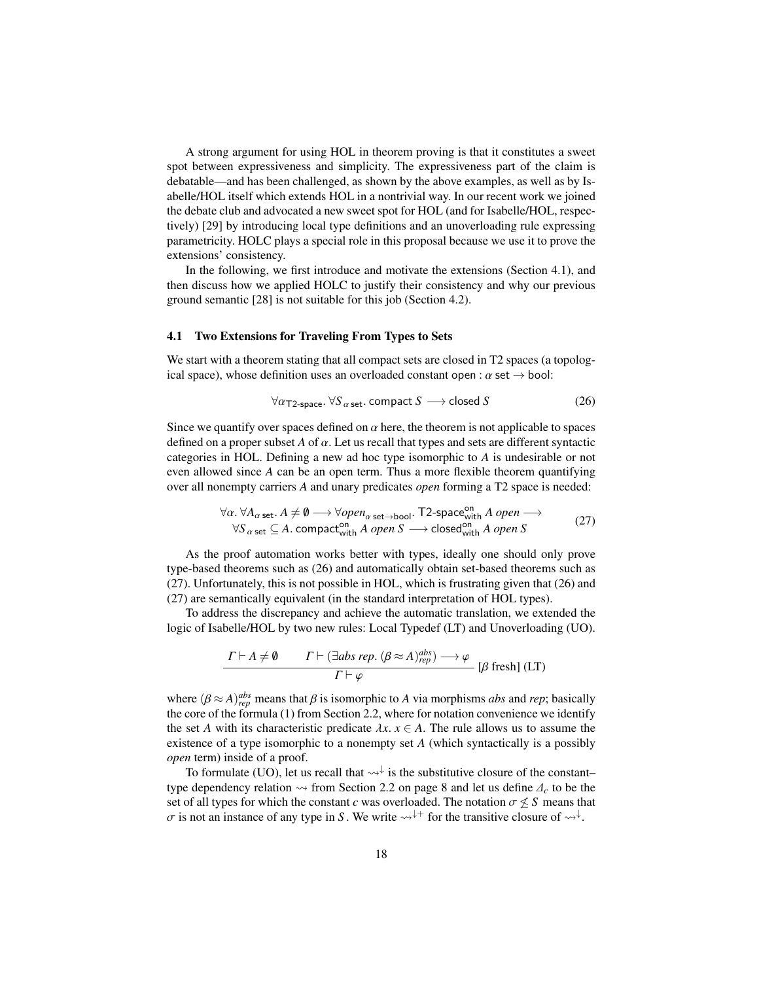A strong argument for using HOL in theorem proving is that it constitutes a sweet spot between expressiveness and simplicity. The expressiveness part of the claim is debatable—and has been challenged, as shown by the above examples, as well as by Isabelle/HOL itself which extends HOL in a nontrivial way. In our recent work we joined the debate club and advocated a new sweet spot for HOL (and for Isabelle/HOL, respectively) [\[29\]](#page-22-13) by introducing local type definitions and an unoverloading rule expressing parametricity. HOLC plays a special role in this proposal because we use it to prove the extensions' consistency.

In the following, we first introduce and motivate the extensions (Section [4.1\)](#page-17-0), and then discuss how we applied HOLC to justify their consistency and why our previous ground semantic [\[28\]](#page-22-6) is not suitable for this job (Section [4.2\)](#page-18-0).

#### <span id="page-17-0"></span>4.1 Two Extensions for Traveling From Types to Sets

We start with a theorem stating that all compact sets are closed in T2 spaces (a topological space), whose definition uses an overloaded constant open :  $\alpha$  set  $\rightarrow$  bool:

<span id="page-17-2"></span><span id="page-17-1"></span>
$$
\forall \alpha_{\text{T2-space.}} \forall S_{\alpha \text{ set.}} \text{ compact } S \longrightarrow \text{closed } S \tag{26}
$$

Since we quantify over spaces defined on  $\alpha$  here, the theorem is not applicable to spaces defined on a proper subset  $A$  of  $\alpha$ . Let us recall that types and sets are different syntactic categories in HOL. Defining a new ad hoc type isomorphic to *A* is undesirable or not even allowed since *A* can be an open term. Thus a more flexible theorem quantifying over all nonempty carriers *A* and unary predicates *open* forming a T2 space is needed:

$$
\forall \alpha. \ \forall A_{\alpha \ \text{set}}. A \neq \emptyset \longrightarrow \forall open_{\alpha \ \text{set} \rightarrow \text{bool}}. \ \mathsf{T2\text{-}space}^{\text{on}}_{\text{with}} A \ open \longrightarrow
$$
  

$$
\forall S_{\alpha \ \text{set}} \subseteq A. \ \text{compact}_{\text{with}}^{\text{on}} A \ open \ S \longrightarrow \text{closed}_{\text{with}}^{\text{on}} A \ open \ S \tag{27}
$$

As the proof automation works better with types, ideally one should only prove type-based theorems such as [\(26\)](#page-17-1) and automatically obtain set-based theorems such as [\(27\)](#page-17-2). Unfortunately, this is not possible in HOL, which is frustrating given that [\(26\)](#page-17-1) and [\(27\)](#page-17-2) are semantically equivalent (in the standard interpretation of HOL types).

To address the discrepancy and achieve the automatic translation, we extended the logic of Isabelle/HOL by two new rules: Local Typedef (LT) and Unoverloading (UO).

$$
\frac{\Gamma \vdash A \neq \emptyset \qquad \Gamma \vdash (\exists abs\ rep. \ (\beta \approx A)^{abs}_{rep}) \longrightarrow \varphi}{\Gamma \vdash \varphi} \qquad [\beta \ \text{ fresh}] \ (\text{LT})
$$

where  $(\beta \approx A)_{rep}^{abs}$  means that  $\beta$  is isomorphic to *A* via morphisms *abs* and *rep*; basically the core of the formula (1) from Section 2.2, where for notation convenience we identify the core of the formula [\(1\)](#page-6-2) from Section [2.2,](#page-6-0) where for notation convenience we identify the set *A* with its characteristic predicate  $\lambda x$ .  $x \in A$ . The rule allows us to assume the existence of a type isomorphic to a nonempty set *A* (which syntactically is a possibly *open* term) inside of a proof.

To formulate (UO), let us recall that  $\leadsto \dagger$  is the substitutive closure of the constant– type dependency relation  $\rightsquigarrow$  from Section [2.2](#page-6-2) on page [8](#page-6-2) and let us define  $\Delta_c$  to be the set of all types for which the constant *c* was overloaded. The notation  $\sigma \leq S$  means that  $\sigma$  is not an instance of any type in *S*. We write  $\leadsto^{\downarrow+}$  for the transitive closure of  $\leadsto^{\downarrow}$ .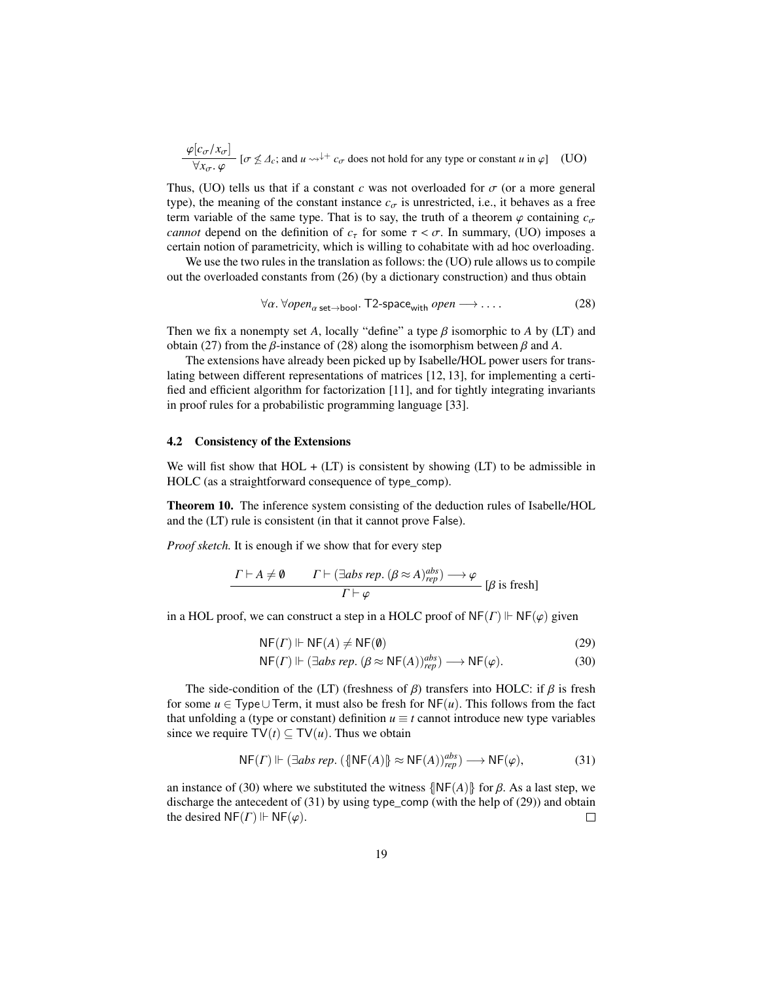$$
\frac{\varphi[c_{\sigma}/x_{\sigma}]}{\forall x_{\sigma}.\varphi} [\sigma \nleq \Delta_c; \text{ and } u \leadsto^{\downarrow+} c_{\sigma} \text{ does not hold for any type or constant } u \text{ in } \varphi]
$$
 (UO)

Thus, (UO) tells us that if a constant *c* was not overloaded for  $\sigma$  (or a more general type), the meaning of the constant instance  $c_{\sigma}$  is unrestricted, i.e., it behaves as a free term variable of the same type. That is to say, the truth of a theorem  $\varphi$  containing  $c_{\sigma}$ *cannot* depend on the definition of  $c<sub>\tau</sub>$  for some  $\tau < \sigma$ . In summary, (UO) imposes a certain notion of parametricity, which is willing to cohabitate with ad hoc overloading.

We use the two rules in the translation as follows: the (UO) rule allows us to compile out the overloaded constants from [\(26\)](#page-17-1) (by a dictionary construction) and thus obtain

<span id="page-18-1"></span>
$$
\forall \alpha. \,\forall open_{\alpha \text{ set}\rightarrow \text{bool}}.\ \mathsf{T2\text{-}space_{with}}\ open \longrightarrow \dots \tag{28}
$$

Then we fix a nonempty set *A*, locally "define" a type  $\beta$  isomorphic to *A* by (LT) and obtain [\(27\)](#page-17-2) from the *β*-instance of [\(28\)](#page-18-1) along the isomorphism between *β* and *A*.

The extensions have already been picked up by Isabelle/HOL power users for translating between different representations of matrices [\[12,](#page-21-18) [13\]](#page-21-19), for implementing a certified and efficient algorithm for factorization [\[11\]](#page-21-20), and for tightly integrating invariants in proof rules for a probabilistic programming language [\[33\]](#page-22-19).

#### <span id="page-18-0"></span>4.2 Consistency of the Extensions

We will fist show that  $HOL + (LT)$  is consistent by showing (LT) to be admissible in HOLC (as a straightforward consequence of type\_comp).

<span id="page-18-5"></span>Theorem 10. The inference system consisting of the deduction rules of Isabelle/HOL and the (LT) rule is consistent (in that it cannot prove False).

*Proof sketch.* It is enough if we show that for every step

$$
\frac{\Gamma \vdash A \neq \emptyset \qquad \Gamma \vdash (\exists abs\ rep. \ (\beta \approx A)_{rep}^{abs}) \longrightarrow \varphi}{\Gamma \vdash \varphi} [\beta \text{ is fresh}]
$$

in a HOL proof, we can construct a step in a HOLC proof of  $N_{\mathsf{F}}(r) \Vdash N_{\mathsf{F}}(\varphi)$  given

<span id="page-18-4"></span>
$$
NF(\Gamma) \Vdash NF(A) \neq NF(\emptyset)
$$
\n
$$
NF(\Gamma) \Vdash (\Gamma, \mathcal{A}) \neq (0, NF(\Lambda))^{obs}
$$
\n
$$
(20)
$$
\n
$$
(30)
$$

<span id="page-18-3"></span><span id="page-18-2"></span>
$$
\mathsf{NF}(F) \Vdash (\exists \textit{abs rep. } (\beta \approx \mathsf{NF}(A))^{abs}_{rep}) \longrightarrow \mathsf{NF}(\varphi). \tag{30}
$$

The side-condition of the (LT) (freshness of  $\beta$ ) transfers into HOLC: if  $\beta$  is fresh for some *u* ∈ Type∪ Term, it must also be fresh for  $NF(u)$ . This follows from the fact that unfolding a (type or constant) definition  $u \equiv t$  cannot introduce new type variables since we require  $TV(t) \subseteq TV(u)$ . Thus we obtain

$$
NF(\Gamma) \Vdash (\exists abs \, rep. \, (\{\vert NF(A)\vert\} \approx NF(A))^{abs}_{rep}) \longrightarrow NF(\varphi), \tag{31}
$$

an instance of [\(30\)](#page-18-2) where we substituted the witness  $\{NF(A)\}\$  for  $\beta$ . As a last step, we discharge the antecedent of [\(31\)](#page-18-3) by using type\_comp (with the help of [\(29\)](#page-18-4)) and obtain the desired  $NF(\Gamma) \Vdash NF(\varphi)$ .  $\Box$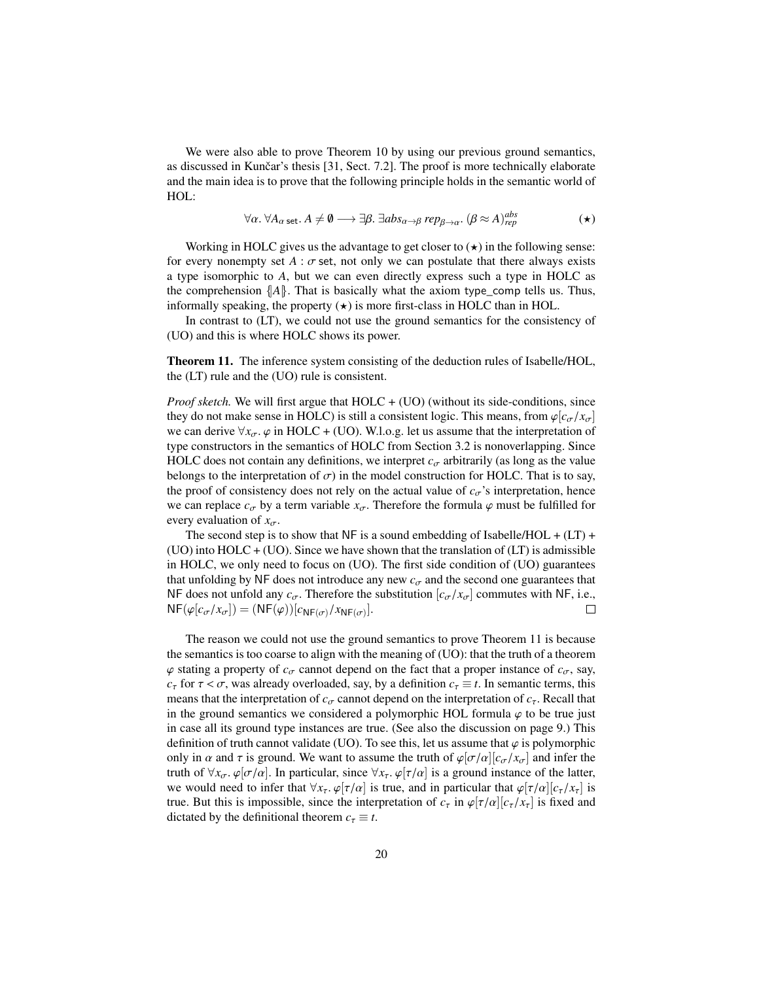We were also able to prove Theorem [10](#page-18-5) by using our previous ground semantics, as discussed in Kunčar's thesis  $[31, Sect. 7.2]$  $[31, Sect. 7.2]$ . The proof is more technically elaborate and the main idea is to prove that the following principle holds in the semantic world of HOL:

<span id="page-19-0"></span>
$$
\forall \alpha. \ \forall A_{\alpha \ \text{set}}. A \neq \emptyset \longrightarrow \exists \beta. \ \exists abs_{\alpha \to \beta} rep_{\beta \to \alpha}. \ (\beta \approx A)_{rep}^{abs}
$$

Working in HOLC gives us the advantage to get closer to  $(\star)$  in the following sense: for every nonempty set  $A : \sigma$  set, not only we can postulate that there always exists a type isomorphic to *A*, but we can even directly express such a type in HOLC as the comprehension  $\{A\}$ . That is basically what the axiom type\_comp tells us. Thus, informally speaking, the property  $(\star)$  is more first-class in HOLC than in HOL.

In contrast to (LT), we could not use the ground semantics for the consistency of (UO) and this is where HOLC shows its power.

<span id="page-19-1"></span>Theorem 11. The inference system consisting of the deduction rules of Isabelle/HOL, the (LT) rule and the (UO) rule is consistent.

*Proof sketch.* We will first argue that HOLC + (UO) (without its side-conditions, since they do not make sense in HOLC) is still a consistent logic. This means, from  $\varphi[c_{\sigma}/x_{\sigma}]$ we can derive  $\forall x_{\sigma}$ .  $\varphi$  in HOLC + (UO). W.l.o.g. let us assume that the interpretation of type constructors in the semantics of HOLC from Section [3.2](#page-11-0) is nonoverlapping. Since HOLC does not contain any definitions, we interpret  $c_{\sigma}$  arbitrarily (as long as the value belongs to the interpretation of  $\sigma$ ) in the model construction for HOLC. That is to say, the proof of consistency does not rely on the actual value of  $c_{\sigma}$ 's interpretation, hence we can replace  $c_{\sigma}$  by a term variable  $x_{\sigma}$ . Therefore the formula  $\varphi$  must be fulfilled for every evaluation of  $x_{\sigma}$ .

The second step is to show that NF is a sound embedding of Isabelle/HOL +  $(LT)$  +  $(UD)$  into  $HOLC + (UO)$ . Since we have shown that the translation of  $(LT)$  is admissible in HOLC, we only need to focus on (UO). The first side condition of (UO) guarantees that unfolding by NF does not introduce any new  $c_{\sigma}$  and the second one guarantees that NF does not unfold any  $c_{\sigma}$ . Therefore the substitution  $[c_{\sigma}/x_{\sigma}]$  commutes with NF, i.e.,<br>NF( $\varphi[c_{\sigma}/x_{\sigma}]) = (NF(\varphi))[c_{NF(\sigma)}/x_{NF(\sigma)}].$  $NF(\varphi[c_{\sigma}/x_{\sigma}]) = (NF(\varphi))[c_{NF(\sigma)}/x_{NF(\sigma)}].$ 

The reason we could not use the ground semantics to prove Theorem [11](#page-19-1) is because the semantics is too coarse to align with the meaning of (UO): that the truth of a theorem  $\varphi$  stating a property of  $c_{\sigma}$  cannot depend on the fact that a proper instance of  $c_{\sigma}$ , say, *c*<sub>τ</sub> for  $\tau < \sigma$ , was already overloaded, say, by a definition  $c_{\tau} \equiv t$ . In semantic terms, this means that the interpretation of  $c_{\sigma}$  cannot depend on the interpretation of  $c_{\tau}$ . Recall that in the ground semantics we considered a polymorphic HOL formula  $\varphi$  to be true just in case all its ground type instances are true. (See also the discussion on page [9.](#page-7-1)) This definition of truth cannot validate (UO). To see this, let us assume that  $\varphi$  is polymorphic only in  $\alpha$  and  $\tau$  is ground. We want to assume the truth of  $\varphi[\sigma/\alpha][c_{\sigma}/x_{\sigma}]$  and infer the truth of  $\forall x_{\sigma}$ .  $\varphi[\sigma/\alpha]$ . In particular, since  $\forall x_{\tau}$ .  $\varphi[\tau/\alpha]$  is a ground instance of the latter, we would need to infer that  $\forall x_\tau$ .  $\varphi[\tau/\alpha]$  is true, and in particular that  $\varphi[\tau/\alpha][c_\tau/x_\tau]$  is true. But this is impossible, since the interpretation of  $c_{\tau}$  in  $\varphi[\tau/\alpha][c_{\tau}/x_{\tau}]$  is fixed and dictated by the definitional theorem  $c<sub>\tau</sub> \equiv t$ .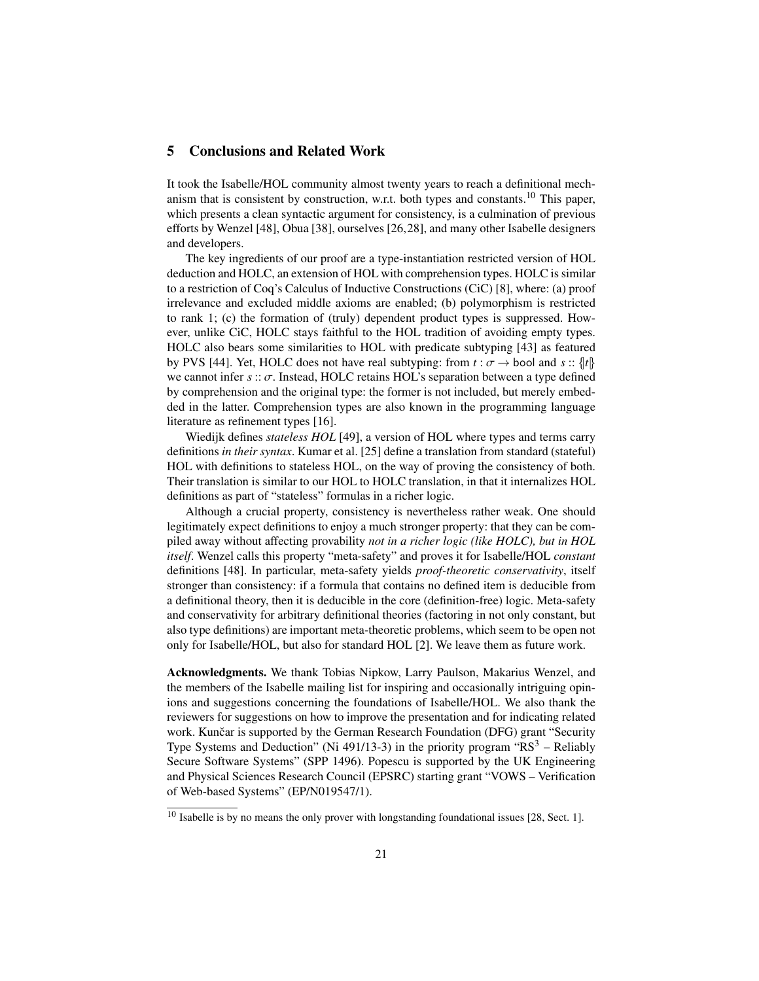## 5 Conclusions and Related Work

It took the Isabelle/HOL community almost twenty years to reach a definitional mech-anism that is consistent by construction, w.r.t. both types and constants.<sup>[10](#page-20-0)</sup> This paper, which presents a clean syntactic argument for consistency, is a culmination of previous efforts by Wenzel [\[48\]](#page-22-8), Obua [\[38\]](#page-22-21), ourselves [\[26,](#page-22-9)[28\]](#page-22-6), and many other Isabelle designers and developers.

The key ingredients of our proof are a type-instantiation restricted version of HOL deduction and HOLC, an extension of HOL with comprehension types. HOLC is similar to a restriction of Coq's Calculus of Inductive Constructions (CiC) [\[8\]](#page-21-21), where: (a) proof irrelevance and excluded middle axioms are enabled; (b) polymorphism is restricted to rank 1; (c) the formation of (truly) dependent product types is suppressed. However, unlike CiC, HOLC stays faithful to the HOL tradition of avoiding empty types. HOLC also bears some similarities to HOL with predicate subtyping [\[43\]](#page-22-22) as featured by PVS [\[44\]](#page-22-23). Yet, HOLC does not have real subtyping: from  $t : \sigma \rightarrow$  bool and  $s : \{t\}$ we cannot infer *<sup>s</sup>* :: σ. Instead, HOLC retains HOL's separation between a type defined by comprehension and the original type: the former is not included, but merely embedded in the latter. Comprehension types are also known in the programming language literature as refinement types [\[16\]](#page-21-22).

Wiedijk defines *stateless HOL* [\[49\]](#page-22-24), a version of HOL where types and terms carry definitions *in their syntax*. Kumar et al. [\[25\]](#page-22-11) define a translation from standard (stateful) HOL with definitions to stateless HOL, on the way of proving the consistency of both. Their translation is similar to our HOL to HOLC translation, in that it internalizes HOL definitions as part of "stateless" formulas in a richer logic.

Although a crucial property, consistency is nevertheless rather weak. One should legitimately expect definitions to enjoy a much stronger property: that they can be compiled away without affecting provability *not in a richer logic (like HOLC), but in HOL itself*. Wenzel calls this property "meta-safety" and proves it for Isabelle/HOL *constant* definitions [\[48\]](#page-22-8). In particular, meta-safety yields *proof-theoretic conservativity*, itself stronger than consistency: if a formula that contains no defined item is deducible from a definitional theory, then it is deducible in the core (definition-free) logic. Meta-safety and conservativity for arbitrary definitional theories (factoring in not only constant, but also type definitions) are important meta-theoretic problems, which seem to be open not only for Isabelle/HOL, but also for standard HOL [\[2\]](#page-21-23). We leave them as future work.

Acknowledgments. We thank Tobias Nipkow, Larry Paulson, Makarius Wenzel, and the members of the Isabelle mailing list for inspiring and occasionally intriguing opinions and suggestions concerning the foundations of Isabelle/HOL. We also thank the reviewers for suggestions on how to improve the presentation and for indicating related work. Kunčar is supported by the German Research Foundation (DFG) grant "Security Type Systems and Deduction" (Ni 491/13-3) in the priority program " $RS<sup>3</sup>$  – Reliably Secure Software Systems" (SPP 1496). Popescu is supported by the UK Engineering and Physical Sciences Research Council (EPSRC) starting grant "VOWS – Verification of Web-based Systems" (EP/N019547/1).

<span id="page-20-0"></span> $10$  Isabelle is by no means the only prover with longstanding foundational issues [\[28,](#page-22-6) Sect. 1].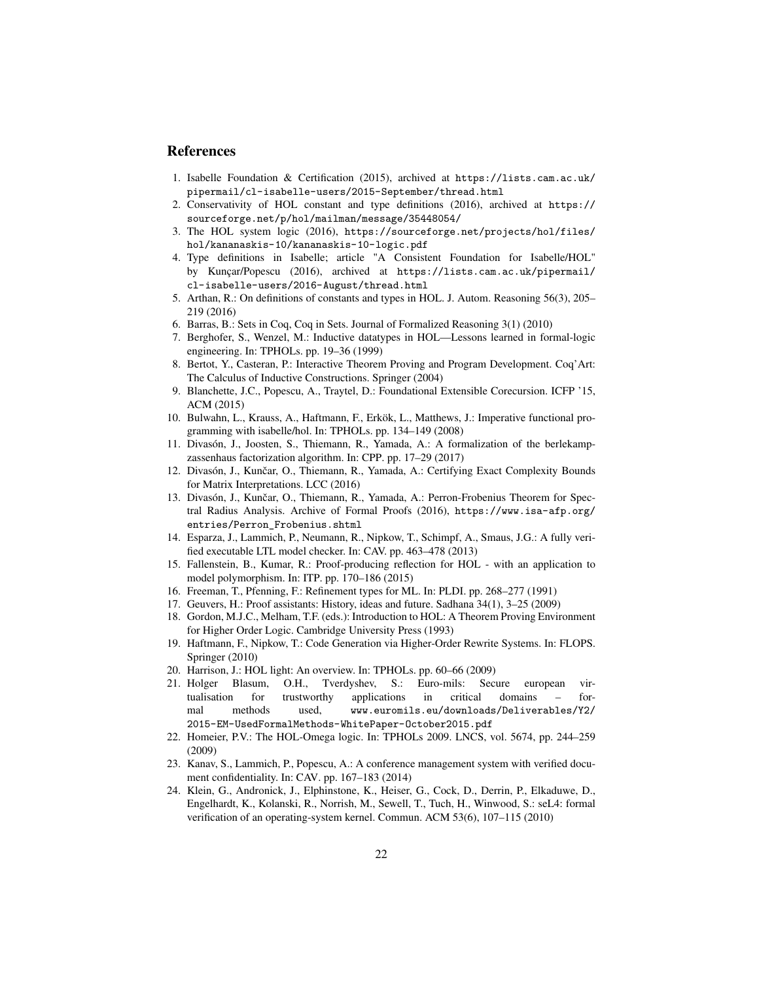### References

- <span id="page-21-10"></span>1. Isabelle Foundation & Certification (2015), archived at [https://lists.cam.ac.uk/](https://lists.cam.ac.uk/pipermail/cl-isabelle-users/2015-September/thread.html) [pipermail/cl-isabelle-users/2015-September/thread.html](https://lists.cam.ac.uk/pipermail/cl-isabelle-users/2015-September/thread.html)
- <span id="page-21-23"></span>2. Conservativity of HOL constant and type definitions (2016), archived at [https://](https://sourceforge.net/p/hol/mailman/message/35448054/) [sourceforge.net/p/hol/mailman/message/35448054/](https://sourceforge.net/p/hol/mailman/message/35448054/)
- <span id="page-21-13"></span>3. The HOL system logic (2016), [https://sourceforge.net/projects/hol/files/](https://sourceforge.net/projects/hol/files/hol/kananaskis-10/kananaskis-10-logic.pdf) [hol/kananaskis-10/kananaskis-10-logic.pdf](https://sourceforge.net/projects/hol/files/hol/kananaskis-10/kananaskis-10-logic.pdf)
- <span id="page-21-12"></span>4. Type definitions in Isabelle; article "A Consistent Foundation for Isabelle/HOL" by Kunçar/Popescu (2016), archived at [https://lists.cam.ac.uk/pipermail/](https://lists.cam.ac.uk/pipermail/cl-isabelle-users/2016-August/thread.html) [cl-isabelle-users/2016-August/thread.html](https://lists.cam.ac.uk/pipermail/cl-isabelle-users/2016-August/thread.html)
- <span id="page-21-9"></span>5. Arthan, R.: On definitions of constants and types in HOL. J. Autom. Reasoning 56(3), 205– 219 (2016)
- <span id="page-21-16"></span>6. Barras, B.: Sets in Coq, Coq in Sets. Journal of Formalized Reasoning 3(1) (2010)
- <span id="page-21-8"></span>7. Berghofer, S., Wenzel, M.: Inductive datatypes in HOL—Lessons learned in formal-logic engineering. In: TPHOLs. pp. 19–36 (1999)
- <span id="page-21-21"></span>8. Bertot, Y., Casteran, P.: Interactive Theorem Proving and Program Development. Coq'Art: The Calculus of Inductive Constructions. Springer (2004)
- <span id="page-21-1"></span>9. Blanchette, J.C., Popescu, A., Traytel, D.: Foundational Extensible Corecursion. ICFP '15, ACM (2015)
- <span id="page-21-2"></span>10. Bulwahn, L., Krauss, A., Haftmann, F., Erkök, L., Matthews, J.: Imperative functional programming with isabelle/hol. In: TPHOLs. pp. 134–149 (2008)
- <span id="page-21-20"></span>11. Divasón, J., Joosten, S., Thiemann, R., Yamada, A.: A formalization of the berlekampzassenhaus factorization algorithm. In: CPP. pp. 17–29 (2017)
- <span id="page-21-18"></span>12. Divasón, J., Kunčar, O., Thiemann, R., Yamada, A.: Certifying Exact Complexity Bounds for Matrix Interpretations. LCC (2016)
- <span id="page-21-19"></span>13. Divasón, J., Kunčar, O., Thiemann, R., Yamada, A.: Perron-Frobenius Theorem for Spectral Radius Analysis. Archive of Formal Proofs (2016), [https://www.isa-afp.org/](https://www.isa-afp.org/entries/Perron_Frobenius.shtml) [entries/Perron\\_Frobenius.shtml](https://www.isa-afp.org/entries/Perron_Frobenius.shtml)
- <span id="page-21-4"></span>14. Esparza, J., Lammich, P., Neumann, R., Nipkow, T., Schimpf, A., Smaus, J.G.: A fully verified executable LTL model checker. In: CAV. pp. 463–478 (2013)
- <span id="page-21-11"></span>15. Fallenstein, B., Kumar, R.: Proof-producing reflection for HOL - with an application to model polymorphism. In: ITP. pp. 170–186 (2015)
- <span id="page-21-22"></span>16. Freeman, T., Pfenning, F.: Refinement types for ML. In: PLDI. pp. 268–277 (1991)
- <span id="page-21-7"></span>17. Geuvers, H.: Proof assistants: History, ideas and future. Sadhana 34(1), 3–25 (2009)
- <span id="page-21-14"></span>18. Gordon, M.J.C., Melham, T.F. (eds.): Introduction to HOL: A Theorem Proving Environment for Higher Order Logic. Cambridge University Press (1993)
- <span id="page-21-3"></span>19. Haftmann, F., Nipkow, T.: Code Generation via Higher-Order Rewrite Systems. In: FLOPS. Springer (2010)
- <span id="page-21-15"></span>20. Harrison, J.: HOL light: An overview. In: TPHOLs. pp. 60–66 (2009)
- <span id="page-21-6"></span>21. Holger Blasum, O.H., Tverdyshev, S.: Euro-mils: Secure european virtualisation for trustworthy applications in critical domains – formal methods used, [www.euromils.eu/downloads/Deliverables/Y2/](www.euromils.eu/downloads/Deliverables/Y2/2015-EM-UsedFormalMethods-WhitePaper-October2015.pdf) [2015-EM-UsedFormalMethods-WhitePaper-October2015.pdf](www.euromils.eu/downloads/Deliverables/Y2/2015-EM-UsedFormalMethods-WhitePaper-October2015.pdf)
- <span id="page-21-17"></span>22. Homeier, P.V.: The HOL-Omega logic. In: TPHOLs 2009. LNCS, vol. 5674, pp. 244–259 (2009)
- <span id="page-21-5"></span>23. Kanav, S., Lammich, P., Popescu, A.: A conference management system with verified document confidentiality. In: CAV. pp. 167–183 (2014)
- <span id="page-21-0"></span>24. Klein, G., Andronick, J., Elphinstone, K., Heiser, G., Cock, D., Derrin, P., Elkaduwe, D., Engelhardt, K., Kolanski, R., Norrish, M., Sewell, T., Tuch, H., Winwood, S.: seL4: formal verification of an operating-system kernel. Commun. ACM 53(6), 107–115 (2010)